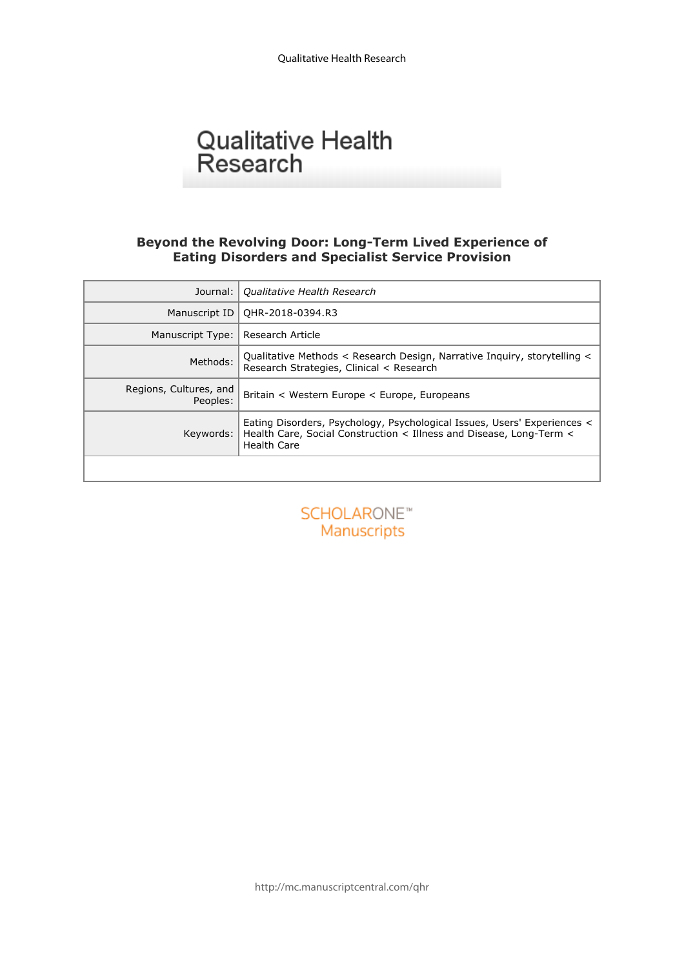# Qualitative Health<br>Research

#### **Beyond the Revolving Door: Long-Term Lived Experience of Eating Disorders and Specialist Service Provision**

| Qualitative Health Research                                                                                                                                           |
|-----------------------------------------------------------------------------------------------------------------------------------------------------------------------|
| QHR-2018-0394.R3                                                                                                                                                      |
| Research Article                                                                                                                                                      |
| Qualitative Methods < Research Design, Narrative Inquiry, storytelling <<br>Research Strategies, Clinical < Research                                                  |
| Britain < Western Europe < Europe, Europeans                                                                                                                          |
| Eating Disorders, Psychology, Psychological Issues, Users' Experiences <<br>Health Care, Social Construction < Illness and Disease, Long-Term <<br><b>Health Care</b> |
|                                                                                                                                                                       |
| SCHOLARONE <sup>*</sup><br>Manuscripts                                                                                                                                |
|                                                                                                                                                                       |

http://mc.manuscriptcentral.com/qhr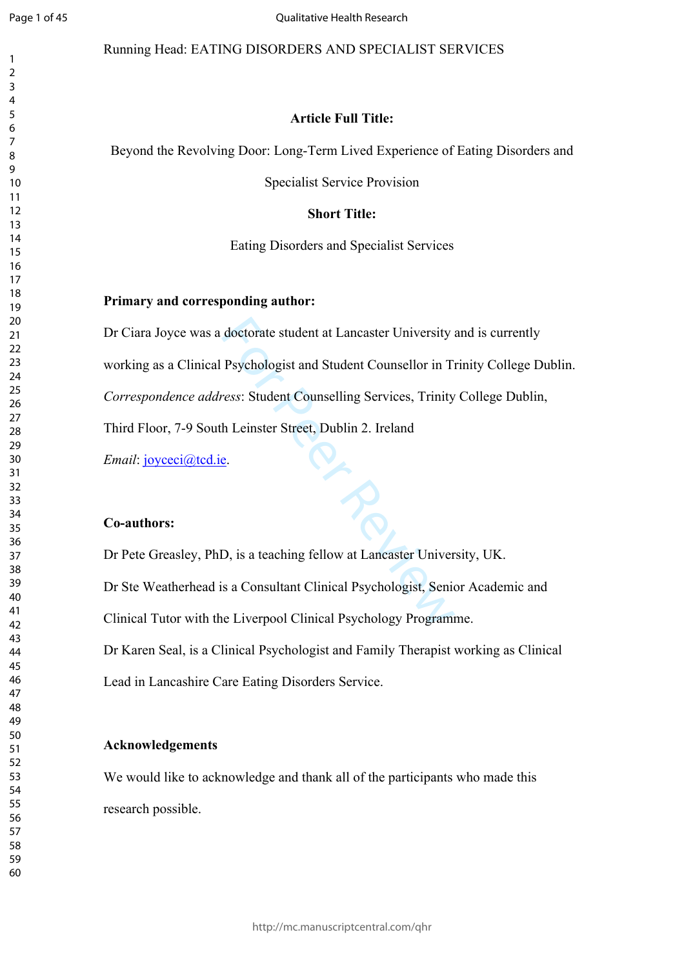$\mathbf{1}$  $\overline{2}$  $\overline{3}$  $\overline{4}$  $\overline{7}$  $\mathsf{Q}$ 

#### Running Head: EATING DISORDERS AND SPECIALIST SERVICES

#### **Article Full Title:**

Beyond the Revolving Door: Long-Term Lived Experience of Eating Disorders and

Specialist Service Provision

#### **Short Title:**

Eating Disorders and Specialist Services

#### **Primary and corresponding author:**

doctorate student at Lancaster University<br>
Psychologist and Student Counsellor in Ti<br>
ress: Student Counselling Services, Trinity<br>
h Leinster Street, Dublin 2. Ireland<br>
e.<br>
D., is a teaching fellow at Lancaster Univer<br>
s a Dr Ciara Joyce was a doctorate student at Lancaster University and is currently working as a Clinical Psychologist and Student Counsellor in Trinity College Dublin. *Correspondence address*: Student Counselling Services, Trinity College Dublin, Third Floor, 7-9 South Leinster Street, Dublin 2. Ireland

*Email*: *joyceci@tcd.ie.* 

#### **Co-authors:**

Dr Pete Greasley, PhD, is a teaching fellow at Lancaster University, UK. Dr Ste Weatherhead is a Consultant Clinical Psychologist, Senior Academic and Clinical Tutor with the Liverpool Clinical Psychology Programme. Dr Karen Seal, is a Clinical Psychologist and Family Therapist working as Clinical Lead in Lancashire Care Eating Disorders Service.

#### **Acknowledgements**

We would like to acknowledge and thank all of the participants who made this research possible.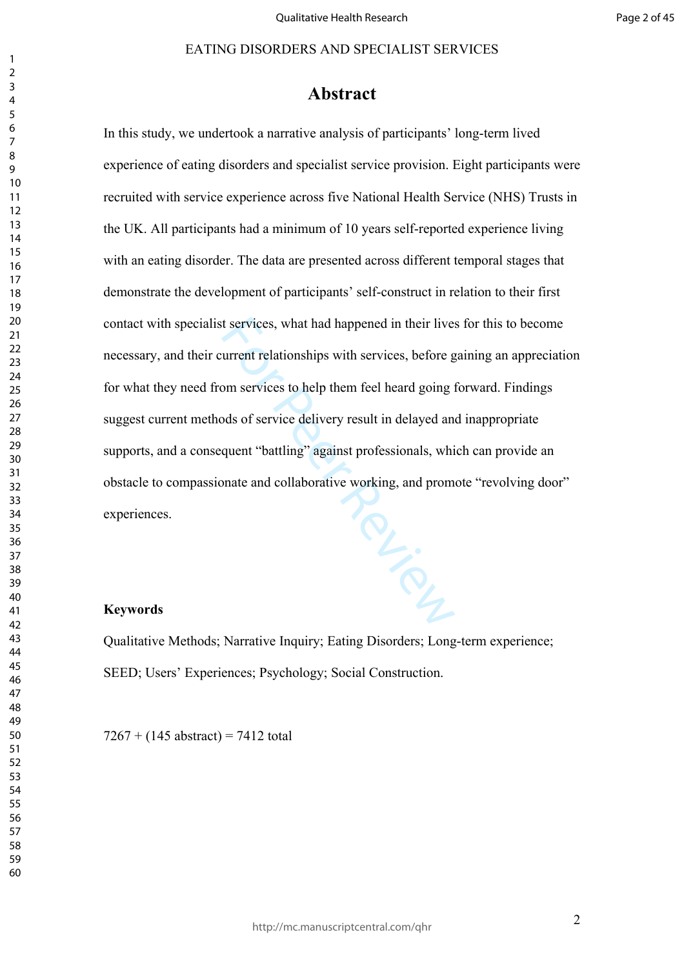#### 

## **Abstract**

For Prince In this study, we undertook a narrative analysis of participants' long-term lived experience of eating disorders and specialist service provision. Eight participants were recruited with service experience across five National Health Service (NHS) Trusts in the UK. All participants had a minimum of 10 years self-reported experience living with an eating disorder. The data are presented across different temporal stages that demonstrate the development of participants' self-construct in relation to their first contact with specialist services, what had happened in their lives for this to become necessary, and their current relationships with services, before gaining an appreciation for what they need from services to help them feel heard going forward. Findings suggest current methods of service delivery result in delayed and inappropriate supports, and a consequent "battling" against professionals, which can provide an obstacle to compassionate and collaborative working, and promote "revolving door" experiences.

#### **Keywords**

Qualitative Methods; Narrative Inquiry; Eating Disorders; Long-term experience; SEED; Users' Experiences; Psychology; Social Construction.

 $7267 + (145$  abstract) = 7412 total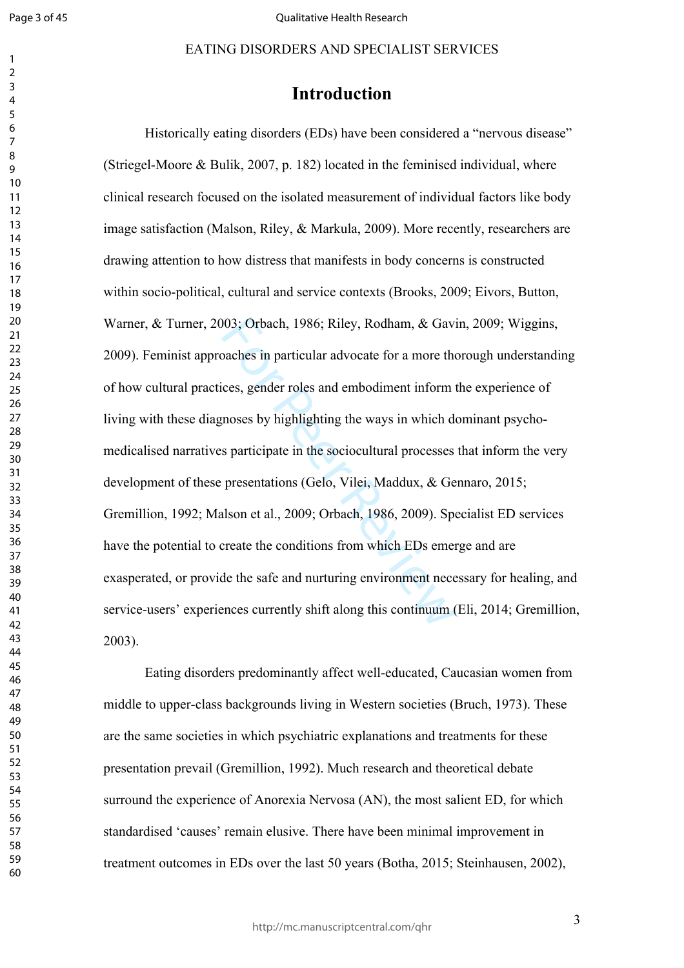$\mathbf{1}$  $\overline{2}$  $\overline{3}$  $\overline{4}$  $\overline{7}$ 

# **Introduction**

003; Orbach, 1986; Riley, Rodham, & Gav<br>
baches in particular advocate for a more the<br>
ces, gender roles and embodiment inform<br>
moses by highlighting the ways in which d<br>
s participate in the sociocultural processes<br>
pres EATING DISORDERS AND SPECIALIST SERVICES<br> **Introduction**<br>
The **Indiverse CEOS** and the feminised in the round disease<br>
v. & Buik, 2007, p. 182) located in the feminised individual, where<br>
the focused on the isolated measur Historically eating disorders (EDs) have been considered a "nervous disease" (Striegel-Moore  $\&$  Bulik, 2007, p. 182) located in the feminised individual, where clinical research focused on the isolated measurement of individual factors like body image satisfaction (Malson, Riley, & Markula, 2009). More recently, researchers are drawing attention to how distress that manifests in body concerns is constructed within socio-political, cultural and service contexts (Brooks, 2009; Eivors, Button, Warner, & Turner, 2003; Orbach, 1986; Riley, Rodham, & Gavin, 2009; Wiggins, 2009). Feminist approaches in particular advocate for a more thorough understanding of how cultural practices, gender roles and embodiment inform the experience of living with these diagnoses by highlighting the ways in which dominant psychomedicalised narratives participate in the sociocultural processes that inform the very development of these presentations (Gelo, Vilei, Maddux, & Gennaro, 2015; Gremillion, 1992; Malson et al., 2009; Orbach, 1986, 2009). Specialist ED services have the potential to create the conditions from which EDs emerge and are exasperated, or provide the safe and nurturing environment necessary for healing, and service-users' experiences currently shift along this continuum (Eli, 2014; Gremillion, 2003).

Eating disorders predominantly affect well-educated, Caucasian women from middle to upper-class backgrounds living in Western societies (Bruch, 1973). These are the same societies in which psychiatric explanations and treatments for these presentation prevail (Gremillion, 1992). Much research and theoretical debate surround the experience of Anorexia Nervosa (AN), the most salient ED, for which standardised 'causes' remain elusive. There have been minimal improvement in treatment outcomes in EDs over the last 50 years (Botha, 2015; Steinhausen, 2002),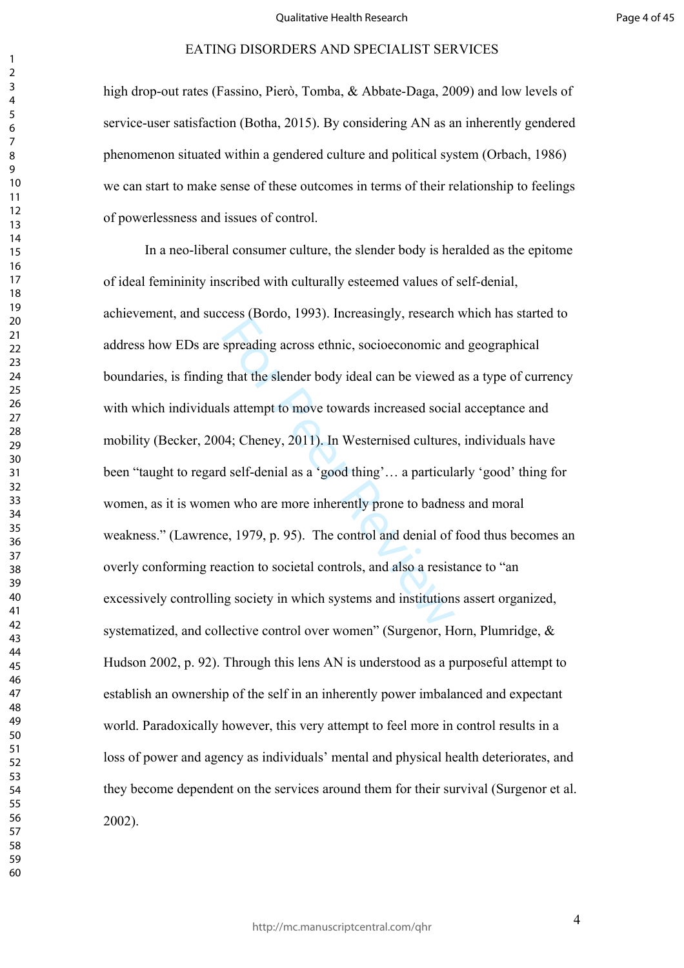high drop-out rates (Fassino, Pierò, Tomba, & Abbate-Daga, 2009) and low levels of service-user satisfaction (Botha, 2015). By considering AN as an inherently gendered phenomenon situated within a gendered culture and political system (Orbach, 1986) we can start to make sense of these outcomes in terms of their relationship to feelings of powerlessness and issues of control.

spreading across ethnic, socioeconomic and that the slender body ideal can be viewed<br>statempt to move towards increased social<br>34; Cheney, 2011). In Westernised cultures<br>d self-denial as a 'good thing'... a particular<br>an w In a neo-liberal consumer culture, the slender body is heralded as the epitome of ideal femininity inscribed with culturally esteemed values of self-denial, achievement, and success (Bordo, 1993). Increasingly, research which has started to address how EDs are spreading across ethnic, socioeconomic and geographical boundaries, is finding that the slender body ideal can be viewed as a type of currency with which individuals attempt to move towards increased social acceptance and mobility (Becker, 2004; Cheney, 2011). In Westernised cultures, individuals have been "taught to regard self-denial as a 'good thing'… a particularly 'good' thing for women, as it is women who are more inherently prone to badness and moral weakness." (Lawrence, 1979, p. 95). The control and denial of food thus becomes an overly conforming reaction to societal controls, and also a resistance to "an excessively controlling society in which systems and institutions assert organized, systematized, and collective control over women" (Surgenor, Horn, Plumridge, & Hudson 2002, p. 92). Through this lens AN is understood as a purposeful attempt to establish an ownership of the self in an inherently power imbalanced and expectant world. Paradoxically however, this very attempt to feel more in control results in a loss of power and agency as individuals' mental and physical health deteriorates, and they become dependent on the services around them for their survival (Surgenor et al. 2002).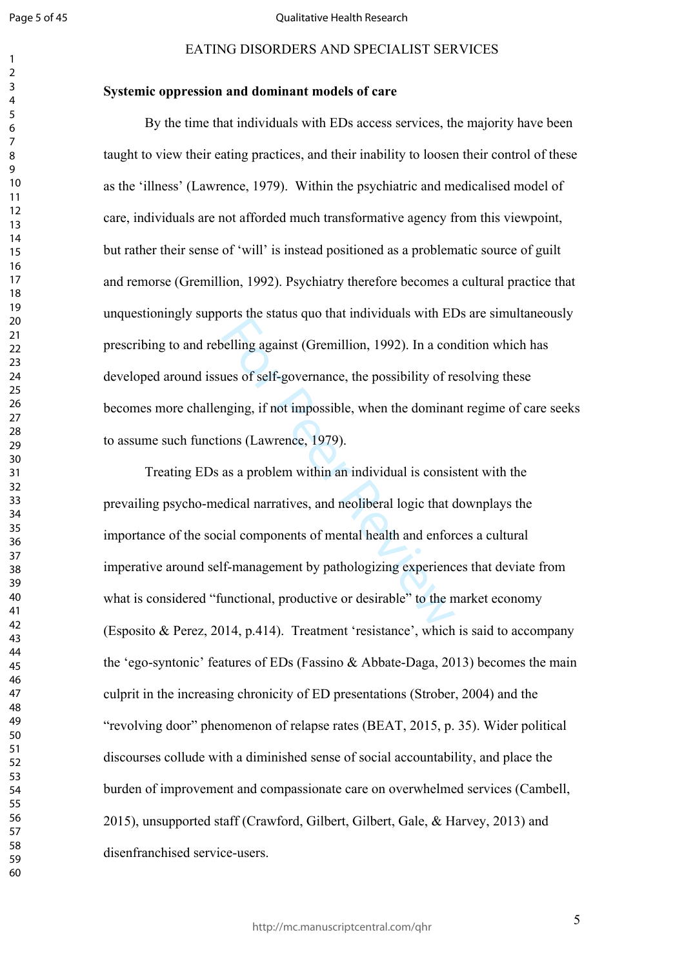$\mathbf{1}$  $\overline{2}$  $\overline{3}$  $\overline{4}$  $\overline{7}$ 

#### Qualitative Health Research

#### **Systemic oppression and dominant models of care**

By the time that individuals with EDs access services, the majority have been taught to view their eating practices, and their inability to loosen their control of these as the 'illness' (Lawrence, 1979). Within the psychiatric and medicalised model of care, individuals are not afforded much transformative agency from this viewpoint, but rather their sense of 'will' is instead positioned as a problematic source of guilt and remorse (Gremillion, 1992). Psychiatry therefore becomes a cultural practice that unquestioningly supports the status quo that individuals with EDs are simultaneously prescribing to and rebelling against (Gremillion, 1992). In a condition which has developed around issues of self-governance, the possibility of resolving these becomes more challenging, if not impossible, when the dominant regime of care seeks to assume such functions (Lawrence, 1979).

belling against (Gremillion, 1992). In a con<br>ues of self-governance, the possibility of re<br>nging, if not impossible, when the dominar<br>ons (Lawrence, 1979).<br>as a problem within an individual is consisted<br>ical narratives, an EATING DISORDERS AND SPECIALIST SERVICES<br>
exsion and dominant models of earc<br>
exsion and dominant models of earc<br>
time that individuals with EDs access services, the majority have been<br>
their eating practices, and their in Treating EDs as a problem within an individual is consistent with the prevailing psycho-medical narratives, and neoliberal logic that downplays the importance of the social components of mental health and enforces a cultural imperative around self-management by pathologizing experiences that deviate from what is considered "functional, productive or desirable" to the market economy (Esposito & Perez, 2014, p.414). Treatment 'resistance', which is said to accompany the 'ego-syntonic' features of EDs (Fassino & Abbate-Daga, 2013) becomes the main culprit in the increasing chronicity of ED presentations (Strober, 2004) and the "revolving door" phenomenon of relapse rates (BEAT, 2015, p. 35). Wider political discourses collude with a diminished sense of social accountability, and place the burden of improvement and compassionate care on overwhelmed services (Cambell, 2015), unsupported staff (Crawford, Gilbert, Gilbert, Gale, & Harvey, 2013) and disenfranchised service-users.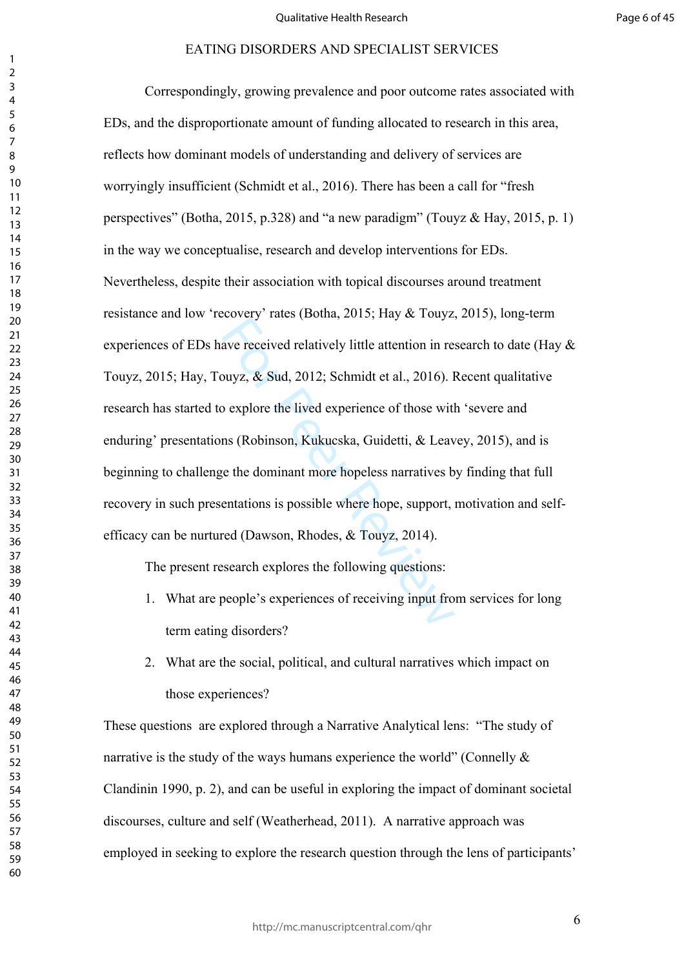sover *L*<sub>2</sub> and the sector, they are realized and the sector. The sector of the sector of the sector of the sector of the sector of the sector of the sector of the sector of the sector of the sector of the sector of the d Correspondingly, growing prevalence and poor outcome rates associated with EDs, and the disproportionate amount of funding allocated to research in this area, reflects how dominant models of understanding and delivery of services are worryingly insufficient (Schmidt et al., 2016). There has been a call for "fresh perspectives" (Botha, 2015, p.328) and "a new paradigm" (Touyz & Hay, 2015, p. 1) in the way we conceptualise, research and develop interventions for EDs. Nevertheless, despite their association with topical discourses around treatment resistance and low 'recovery' rates (Botha, 2015; Hay & Touyz, 2015), long-term experiences of EDs have received relatively little attention in research to date (Hay & Touyz, 2015; Hay, Touyz, & Sud, 2012; Schmidt et al., 2016). Recent qualitative research has started to explore the lived experience of those with 'severe and enduring' presentations (Robinson, Kukucska, Guidetti, & Leavey, 2015), and is beginning to challenge the dominant more hopeless narratives by finding that full recovery in such presentations is possible where hope, support, motivation and selfefficacy can be nurtured (Dawson, Rhodes, & Touyz, 2014).

The present research explores the following questions:

- 1. What are people's experiences of receiving input from services for long term eating disorders?
- 2. What are the social, political, and cultural narratives which impact on those experiences?

These questions are explored through a Narrative Analytical lens: "The study of narrative is the study of the ways humans experience the world" (Connelly  $\&$ Clandinin 1990, p. 2), and can be useful in exploring the impact of dominant societal discourses, culture and self (Weatherhead, 2011). A narrative approach was employed in seeking to explore the research question through the lens of participants'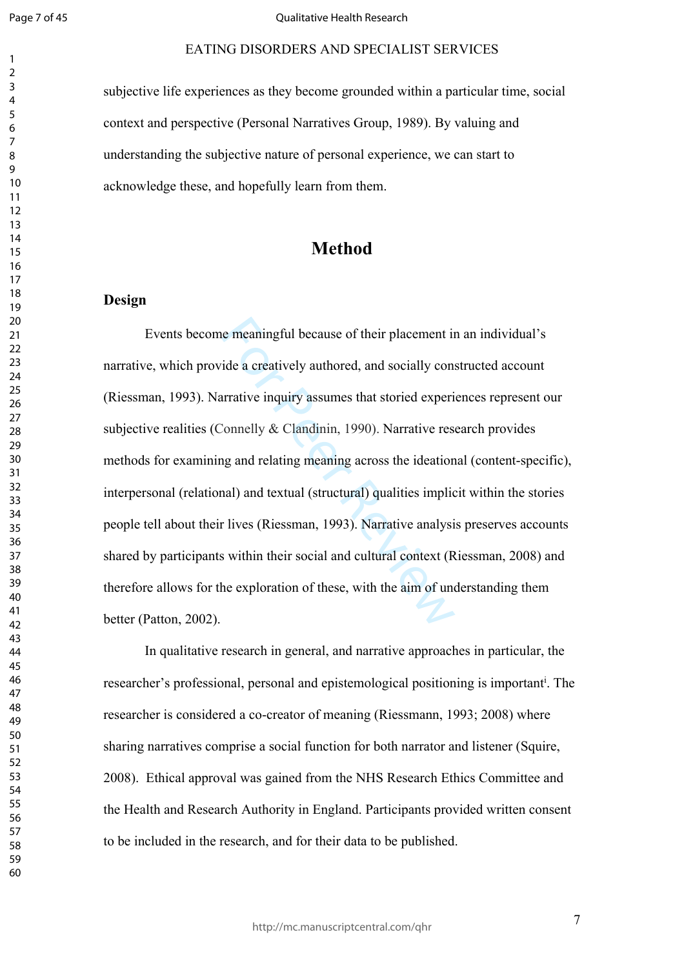Page 7 of 45

 $\mathbf{1}$  $\overline{2}$  $\overline{3}$  $\overline{4}$  $\overline{7}$ 

#### Qualitative Health Research

subjective life experiences as they become grounded within a particular time, social context and perspective (Personal Narratives Group, 1989). By valuing and understanding the subjective nature of personal experience, we can start to acknowledge these, and hopefully learn from them.

# **Method**

### **Design**

e meaningful because of their placement in<br>ide a creatively authored, and socially con-<br>irrative inquiry assumes that storied experi-<br>connelly & Clandinin, 1990). Narrative res-<br>ig and relating meaning across the ideation<br> EATING DISORDERS AND SPECIALIST SERVICES<br>experiences as they become grounded within a particular time, social<br>experiences as they become grounded within a particular time, social<br>spective (Personal Narratives Group, 1989). Events become meaningful because of their placement in an individual's narrative, which provide a creatively authored, and socially constructed account (Riessman, 1993). Narrative inquiry assumes that storied experiences represent our subjective realities (Connelly & Clandinin, 1990). Narrative research provides methods for examining and relating meaning across the ideational (content-specific), interpersonal (relational) and textual (structural) qualities implicit within the stories people tell about their lives (Riessman, 1993). Narrative analysis preserves accounts shared by participants within their social and cultural context (Riessman, 2008) and therefore allows for the exploration of these, with the aim of understanding them better (Patton, 2002).

In qualitative research in general, and narrative approaches in particular, the researcher's professional, personal and epistemological positioning is important<sup>i</sup>. The researcher is considered a co-creator of meaning (Riessmann, 1993; 2008) where sharing narratives comprise a social function for both narrator and listener (Squire, 2008). Ethical approval was gained from the NHS Research Ethics Committee and the Health and Research Authority in England. Participants provided written consent to be included in the research, and for their data to be published.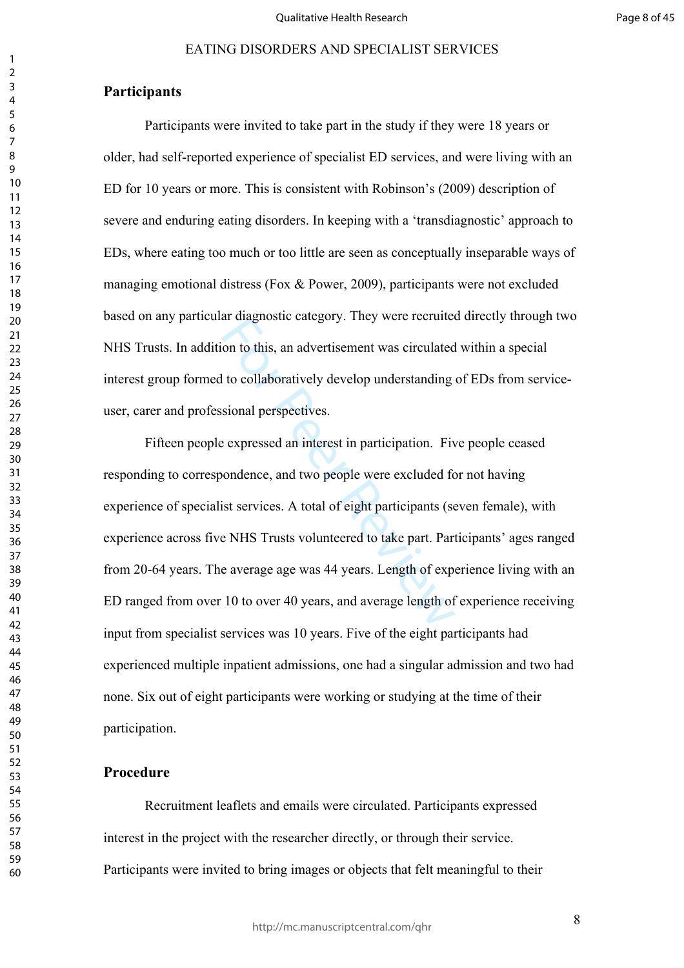#### **Participants**

Participants were invited to take part in the study if they were 18 years or older, had self-reported experience of specialist ED services, and were living with an ED for 10 years or more. This is consistent with Robinson's (2009) description of severe and enduring eating disorders. In keeping with a 'transdiagnostic' approach to EDs, where eating too much or too little are seen as conceptually inseparable ways of managing emotional distress (Fox & Power, 2009), participants were not excluded based on any particular diagnostic category. They were recruited directly through two NHS Trusts. In addition to this, an advertisement was circulated within a special interest group formed to collaboratively develop understanding of EDs from serviceuser, carer and professional perspectives.

at diagnosic cacgory. They were rectanted<br>on to this, an advertisement was circulated<br>to collaboratively develop understanding<br>sional perspectives.<br>Performance and two people were excluded for<br>ist services. A total of eigh Fifteen people expressed an interest in participation. Five people ceased responding to correspondence, and two people were excluded for not having experience of specialist services. A total of eight participants (seven female), with experience across five NHS Trusts volunteered to take part. Participants' ages ranged from 20-64 years. The average age was 44 years. Length of experience living with an ED ranged from over 10 to over 40 years, and average length of experience receiving input from specialist services was 10 years. Five of the eight participants had experienced multiple inpatient admissions, one had a singular admission and two had none. Six out of eight participants were working or studying at the time of their participation.

#### **Procedure**

Recruitment leaflets and emails were circulated. Participants expressed interest in the project with the researcher directly, or through their service. Participants were invited to bring images or objects that felt meaningful to their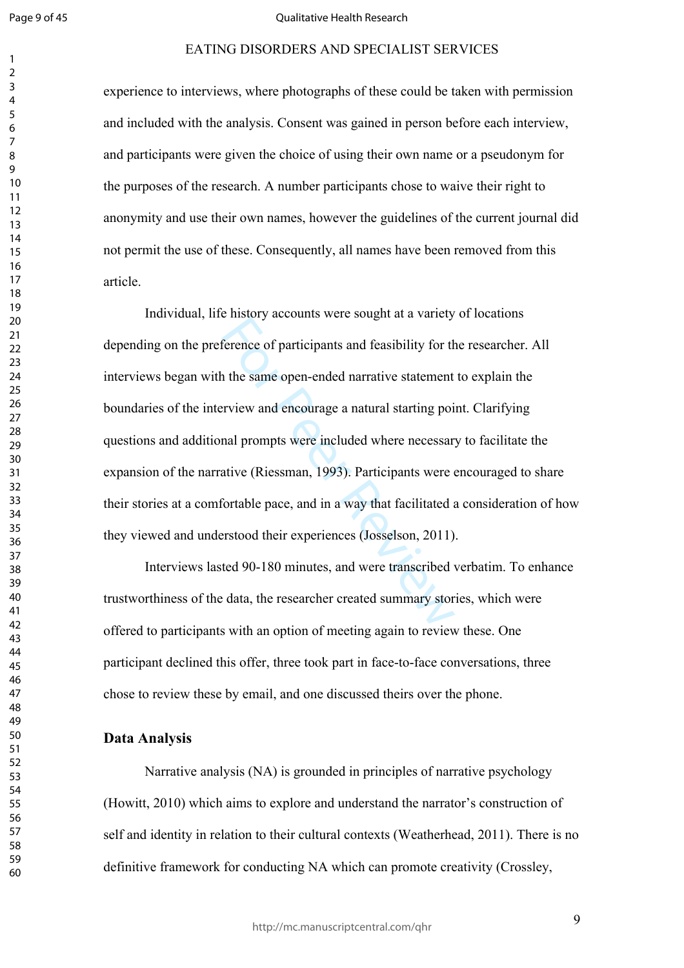$\mathbf{1}$  $\overline{2}$  $\overline{4}$  $\overline{7}$ 

#### Qualitative Health Research

experience to interviews, where photographs of these could be taken with permission and included with the analysis. Consent was gained in person before each interview, and participants were given the choice of using their own name or a pseudonym for the purposes of the research. A number participants chose to waive their right to anonymity and use their own names, however the guidelines of the current journal did not permit the use of these. Consequently, all names have been removed from this article.

Freence of participants were setagated at a variety<br>ference of participants and feasibility for the<br>article of participants and feasibility for the<br>riview and encourage a natural starting poi<br>mal prompts were included wher EATING DISORDERS AND SPECIALIST SERVICES<br>
metrviews, where photographs of these could be taken with permission<br>
metrviews, where photographs of these could be taken with permission<br>
rith the analysis. Consent was gained in Individual, life history accounts were sought at a variety of locations depending on the preference of participants and feasibility for the researcher. All interviews began with the same open-ended narrative statement to explain the boundaries of the interview and encourage a natural starting point. Clarifying questions and additional prompts were included where necessary to facilitate the expansion of the narrative (Riessman, 1993). Participants were encouraged to share their stories at a comfortable pace, and in a way that facilitated a consideration of how they viewed and understood their experiences (Josselson, 2011).

Interviews lasted 90-180 minutes, and were transcribed verbatim. To enhance trustworthiness of the data, the researcher created summary stories, which were offered to participants with an option of meeting again to review these. One participant declined this offer, three took part in face-to-face conversations, three chose to review these by email, and one discussed theirs over the phone.

#### **Data Analysis**

Narrative analysis (NA) is grounded in principles of narrative psychology (Howitt, 2010) which aims to explore and understand the narrator's construction of self and identity in relation to their cultural contexts (Weatherhead, 2011). There is no definitive framework for conducting NA which can promote creativity (Crossley,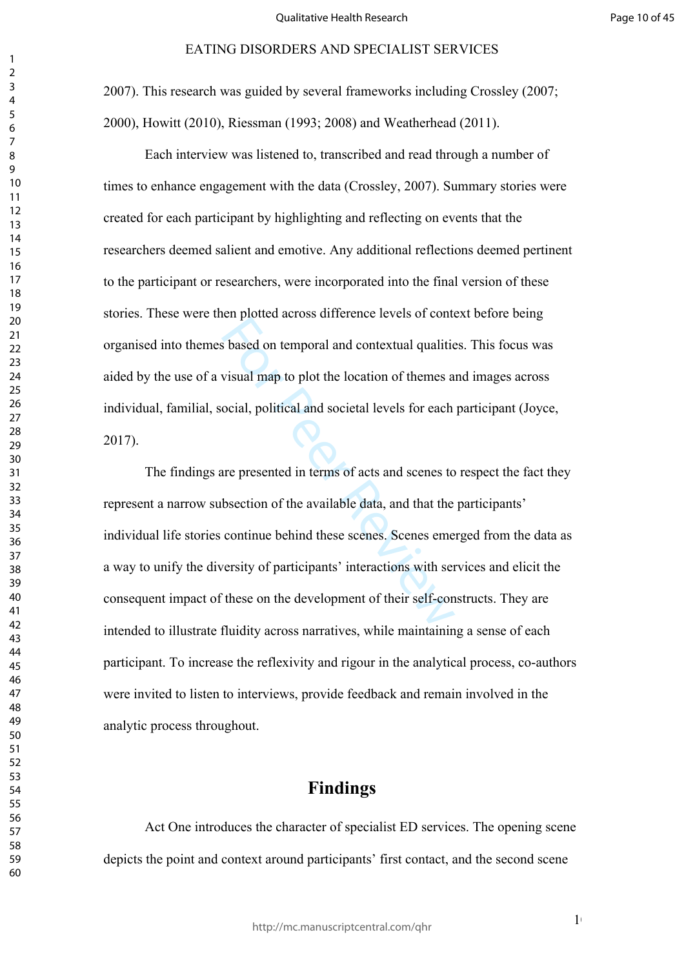2007). This research was guided by several frameworks including Crossley (2007; 2000), Howitt (2010), Riessman (1993; 2008) and Weatherhead (2011).

Each interview was listened to, transcribed and read through a number of times to enhance engagement with the data (Crossley, 2007). Summary stories were created for each participant by highlighting and reflecting on events that the researchers deemed salient and emotive. Any additional reflections deemed pertinent to the participant or researchers, were incorporated into the final version of these stories. These were then plotted across difference levels of context before being organised into themes based on temporal and contextual qualities. This focus was aided by the use of a visual map to plot the location of themes and images across individual, familial, social, political and societal levels for each participant (Joyce, 2017).

s based on temporal and contextual qualities<br>visual map to plot the location of themes a<br>ocial, political and societal levels for each<br>are presented in terms of acts and scenes to<br>bsection of the available data, and that t The findings are presented in terms of acts and scenes to respect the fact they represent a narrow subsection of the available data, and that the participants' individual life stories continue behind these scenes. Scenes emerged from the data as a way to unify the diversity of participants' interactions with services and elicit the consequent impact of these on the development of their self-constructs. They are intended to illustrate fluidity across narratives, while maintaining a sense of each participant. To increase the reflexivity and rigour in the analytical process, co-authors were invited to listen to interviews, provide feedback and remain involved in the analytic process throughout.

# **Findings**

Act One introduces the character of specialist ED services. The opening scene depicts the point and context around participants' first contact, and the second scene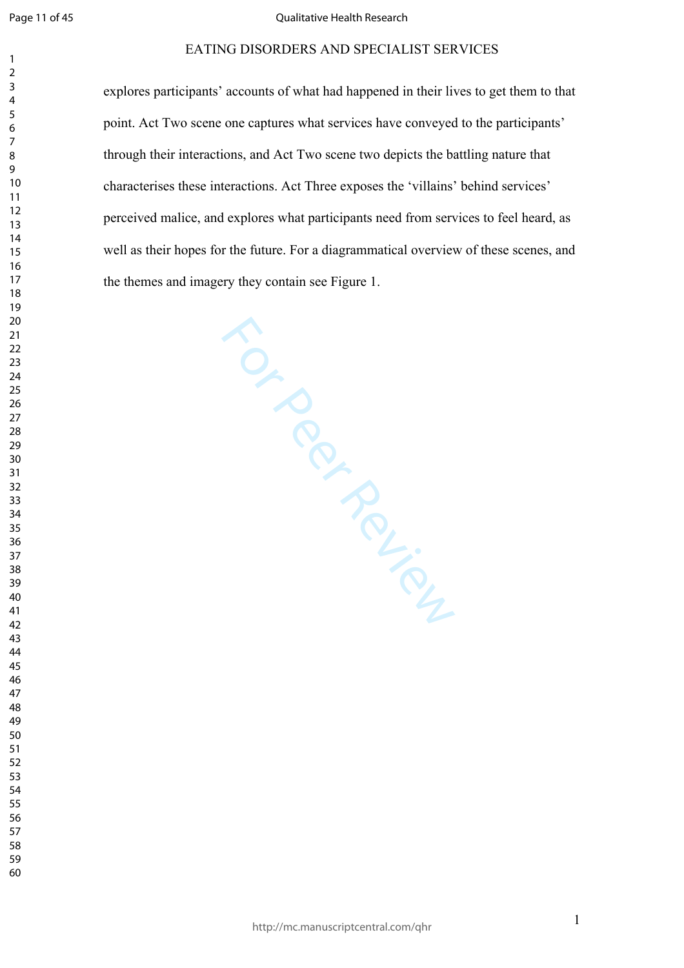$\mathbf{1}$  $\overline{2}$  $\overline{3}$  $\overline{4}$  $\overline{7}$ 

#### Qualitative Health Research

#### EATING DISORDERS AND SPECIALIST SERVICES

explores participants' accounts of what had happened in their lives to get them to that point. Act Two scene one captures what services have conveyed to the participants' through their interactions, and Act Two scene two depicts the battling nature that characterises these interactions. Act Three exposes the 'villains' behind services' perceived malice, and explores what participants need from services to feel heard, as well as their hopes for the future. For a diagrammatical overview of these scenes, and the themes and imagery they contain see Figure 1.

For Per Review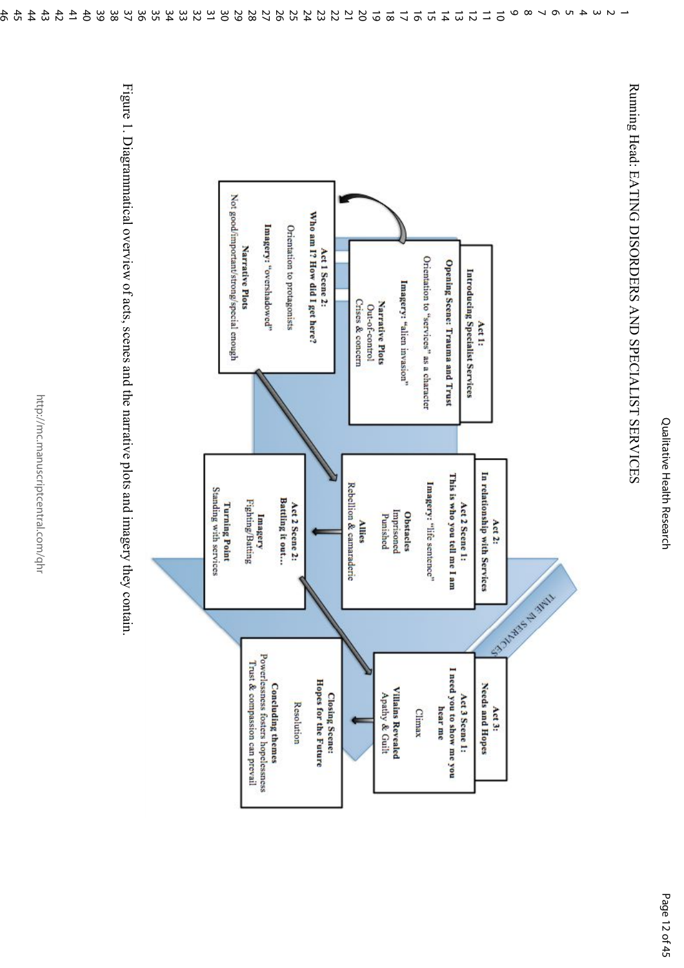Qualitative Health Research Qualitative Health Research

Running Head: EATING DISORDERS AND SPECIALIST SERVICES Running Head: EATING DISORDERS AND SPECIALIST SERVICES

-



Figure 1. Diagrammatical overview of acts, scenes and the narrative plots and imagery they contain Figure 1. Diagrammatical overview of acts, scenes and the narrative plots and imagery they contain.

http://mc.manuscriptcentral.com/qhr

http://mc.manuscriptcentral.com/qhr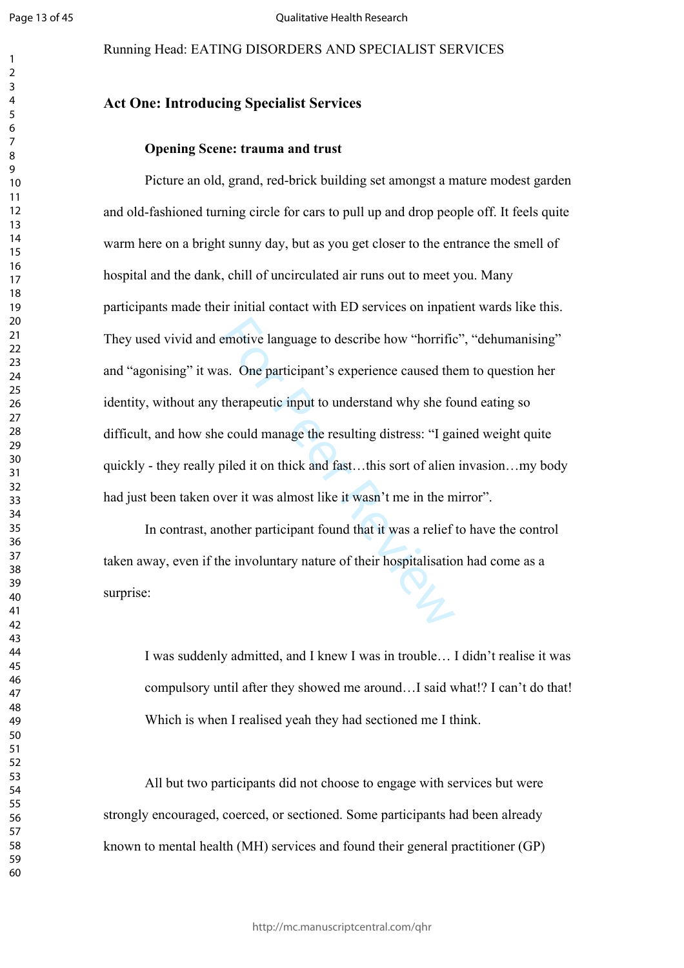$\mathbf{1}$ 

#### Running Head: EATING DISORDERS AND SPECIALIST SERVICES

#### $\overline{2}$  $\overline{3}$  $\overline{4}$  $\overline{7}$

# **Act One: Introducing Specialist Services**

#### **Opening Scene: trauma and trust**

emotive language to describe how "horrifict<br>s. One participant's experience caused the<br>therapeutic input to understand why she for<br>could manage the resulting distress: "I ga<br>biled it on thick and fast...this sort of alien<br> Picture an old, grand, red-brick building set amongst a mature modest garden and old-fashioned turning circle for cars to pull up and drop people off. It feels quite warm here on a bright sunny day, but as you get closer to the entrance the smell of hospital and the dank, chill of uncirculated air runs out to meet you. Many participants made their initial contact with ED services on inpatient wards like this. They used vivid and emotive language to describe how "horrific", "dehumanising" and "agonising" it was. One participant's experience caused them to question her identity, without any therapeutic input to understand why she found eating so difficult, and how she could manage the resulting distress: "I gained weight quite quickly - they really piled it on thick and fast…this sort of alien invasion…my body had just been taken over it was almost like it wasn't me in the mirror".

In contrast, another participant found that it was a relief to have the control taken away, even if the involuntary nature of their hospitalisation had come as a surprise:

I was suddenly admitted, and I knew I was in trouble… I didn't realise it was compulsory until after they showed me around…I said what!? I can't do that! Which is when I realised yeah they had sectioned me I think.

All but two participants did not choose to engage with services but were strongly encouraged, coerced, or sectioned. Some participants had been already known to mental health (MH) services and found their general practitioner (GP)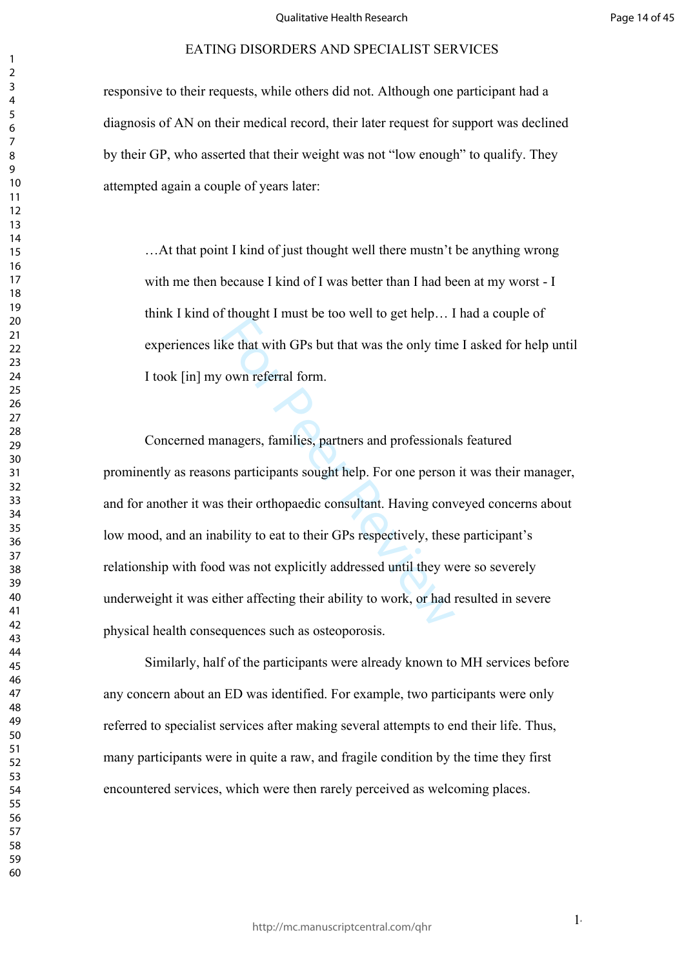responsive to their requests, while others did not. Although one participant had a diagnosis of AN on their medical record, their later request for support was declined by their GP, who asserted that their weight was not "low enough" to qualify. They attempted again a couple of years later:

…At that point I kind of just thought well there mustn't be anything wrong with me then because I kind of I was better than I had been at my worst - I think I kind of thought I must be too well to get help… I had a couple of experiences like that with GPs but that was the only time I asked for help until I took [in] my own referral form.

Example 1 mast be to work to get neip...<br>Reviewer Reviewer Reviewer Reviewer 2.<br>Sketchat with GPs but that was the only time<br>own referral form.<br>Imagers, families, partners and professional<br>as participants sought help. For Concerned managers, families, partners and professionals featured prominently as reasons participants sought help. For one person it was their manager, and for another it was their orthopaedic consultant. Having conveyed concerns about low mood, and an inability to eat to their GPs respectively, these participant's relationship with food was not explicitly addressed until they were so severely underweight it was either affecting their ability to work, or had resulted in severe physical health consequences such as osteoporosis.

Similarly, half of the participants were already known to MH services before any concern about an ED was identified. For example, two participants were only referred to specialist services after making several attempts to end their life. Thus, many participants were in quite a raw, and fragile condition by the time they first encountered services, which were then rarely perceived as welcoming places.

 $1<sub>1</sub>$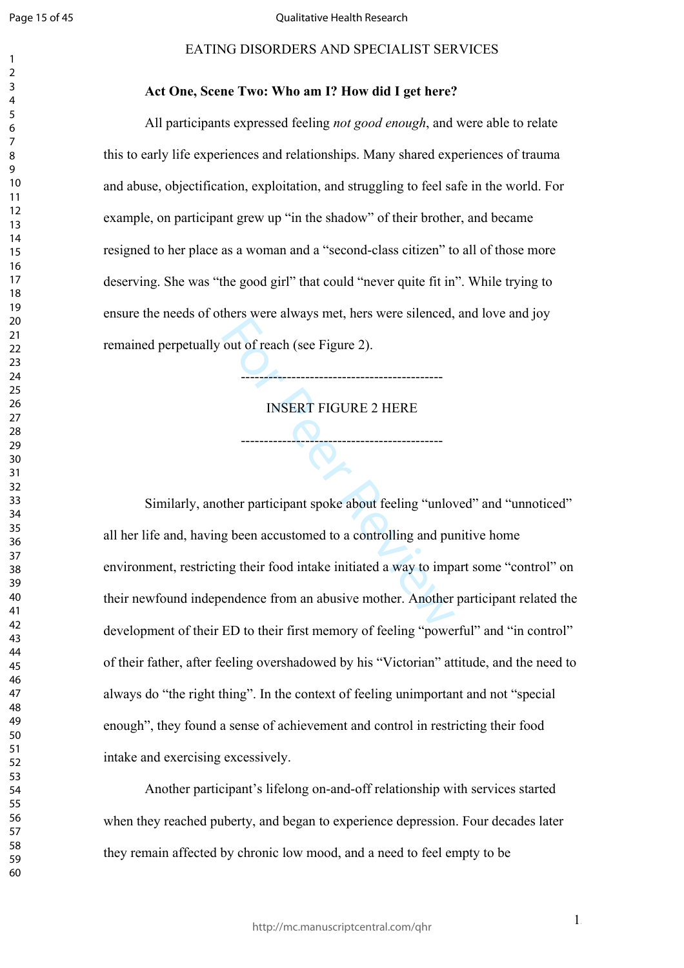$\mathbf{1}$  $\overline{2}$  $\overline{4}$  $\overline{7}$ 

#### EATING DISORDERS AND SPECIALIST SERVICES

#### **Act One, Scene Two: Who am I? How did I get here?**

All participants expressed feeling *not good enough*, and were able to relate this to early life experiences and relationships. Many shared experiences of trauma and abuse, objectification, exploitation, and struggling to feel safe in the world. For example, on participant grew up "in the shadow" of their brother, and became resigned to her place as a woman and a "second-class citizen" to all of those more deserving. She was "the good girl" that could "never quite fit in". While trying to ensure the needs of others were always met, hers were silenced, and love and joy remained perpetually out of reach (see Figure 2).

INSERT FIGURE 2 HERE

--------------------------------------------

--------------------------------------------

The Mate and Julie with the Figure 2).<br>
INSERT FIGURE 2 HERE<br>
The participant spoke about feeling "unlow<br>
g been accustomed to a controlling and pung their frod intake initiated a way to imper-<br>
The their first memory of f Similarly, another participant spoke about feeling "unloved" and "unnoticed" all her life and, having been accustomed to a controlling and punitive home environment, restricting their food intake initiated a way to impart some "control" on their newfound independence from an abusive mother. Another participant related the development of their ED to their first memory of feeling "powerful" and "in control" of their father, after feeling overshadowed by his "Victorian" attitude, and the need to always do "the right thing". In the context of feeling unimportant and not "special enough", they found a sense of achievement and control in restricting their food intake and exercising excessively.

Another participant's lifelong on-and-off relationship with services started when they reached puberty, and began to experience depression. Four decades later they remain affected by chronic low mood, and a need to feel empty to be

 $1<sub>5</sub>$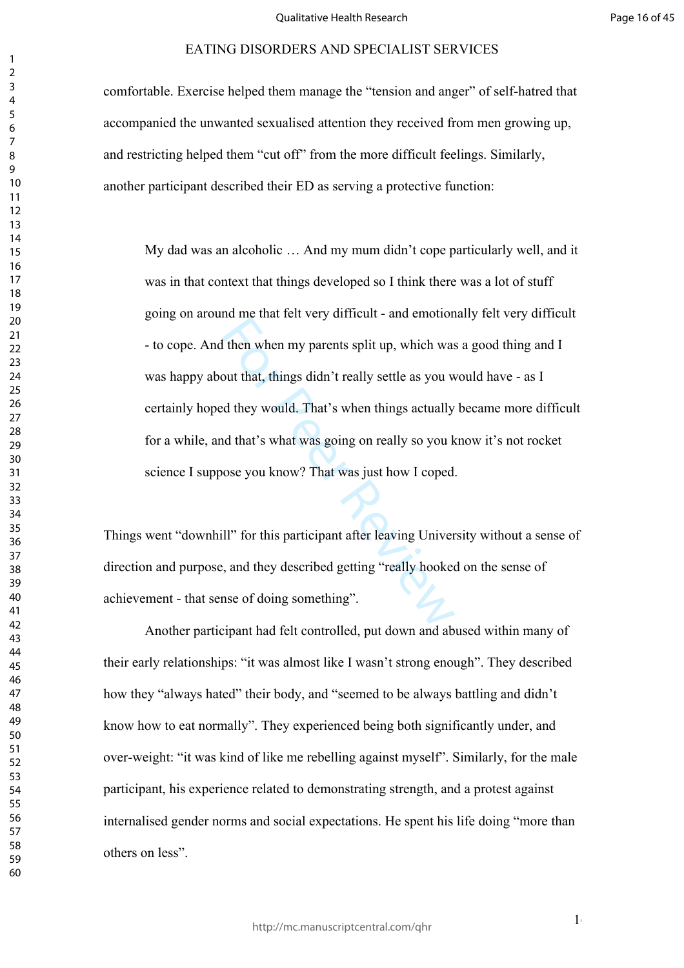comfortable. Exercise helped them manage the "tension and anger" of self-hatred that accompanied the unwanted sexualised attention they received from men growing up, and restricting helped them "cut off" from the more difficult feelings. Similarly, another participant described their ED as serving a protective function:

I then when my parents split up, which was<br>out that, things didn't really settle as you w<br>d they would. That's when things actually<br>nd that's what was going on really so you k<br>ose you know? That was just how I coped<br>III" f My dad was an alcoholic … And my mum didn't cope particularly well, and it was in that context that things developed so I think there was a lot of stuff going on around me that felt very difficult - and emotionally felt very difficult - to cope. And then when my parents split up, which was a good thing and I was happy about that, things didn't really settle as you would have - as I certainly hoped they would. That's when things actually became more difficult for a while, and that's what was going on really so you know it's not rocket science I suppose you know? That was just how I coped.

Things went "downhill" for this participant after leaving University without a sense of direction and purpose, and they described getting "really hooked on the sense of achievement - that sense of doing something".

Another participant had felt controlled, put down and abused within many of their early relationships: "it was almost like I wasn't strong enough". They described how they "always hated" their body, and "seemed to be always battling and didn't know how to eat normally". They experienced being both significantly under, and over-weight: "it was kind of like me rebelling against myself". Similarly, for the male participant, his experience related to demonstrating strength, and a protest against internalised gender norms and social expectations. He spent his life doing "more than others on less".

 $1<sub>6</sub>$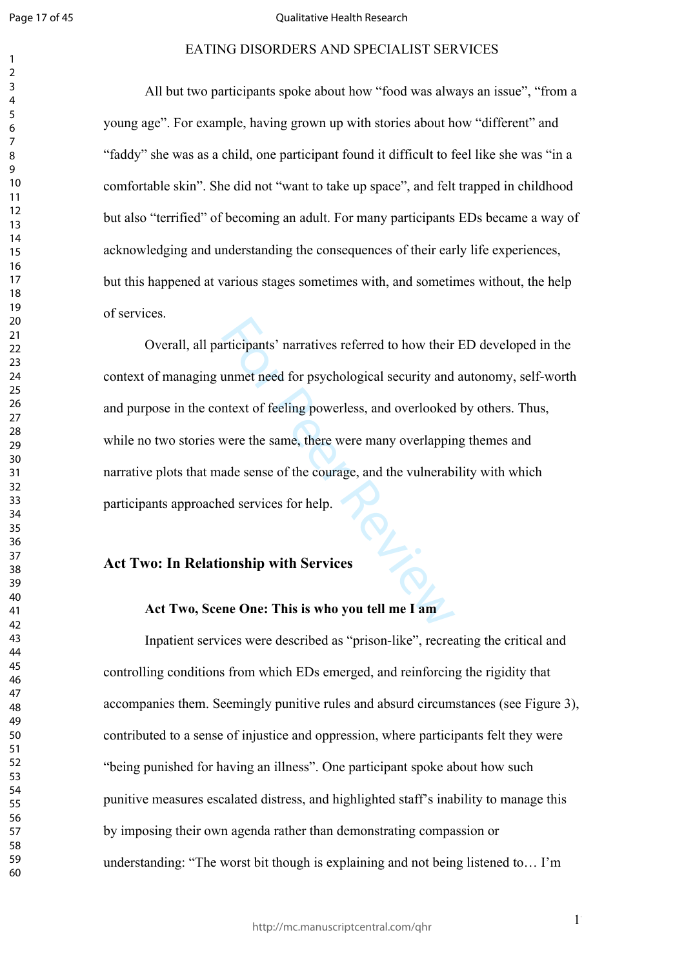$\mathbf{1}$  $\overline{2}$  $\overline{3}$  $\overline{4}$  $\overline{7}$ 

#### Qualitative Health Research

#### EATING DISORDERS AND SPECIALIST SERVICES

All but two participants spoke about how "food was always an issue", "from a young age". For example, having grown up with stories about how "different" and "faddy" she was as a child, one participant found it difficult to feel like she was "in a comfortable skin". She did not "want to take up space", and felt trapped in childhood but also "terrified" of becoming an adult. For many participants EDs became a way of acknowledging and understanding the consequences of their early life experiences, but this happened at various stages sometimes with, and sometimes without, the help of services.

The parameter intervals are the same of the property and the same, there were many overlooked<br>were the same, there were many overlappin<br>ade sense of the courage, and the vulnerab<br>ed services for help.<br>**Conship with Service** Overall, all participants' narratives referred to how their ED developed in the context of managing unmet need for psychological security and autonomy, self-worth and purpose in the context of feeling powerless, and overlooked by others. Thus, while no two stories were the same, there were many overlapping themes and narrative plots that made sense of the courage, and the vulnerability with which participants approached services for help. Participant 1.<br>Act Two: In Relationship with Services

#### **Act Two, Scene One: This is who you tell me I am**

Inpatient services were described as "prison-like", recreating the critical and controlling conditions from which EDs emerged, and reinforcing the rigidity that accompanies them. Seemingly punitive rules and absurd circumstances (see Figure 3), contributed to a sense of injustice and oppression, where participants felt they were "being punished for having an illness". One participant spoke about how such punitive measures escalated distress, and highlighted staff's inability to manage this by imposing their own agenda rather than demonstrating compassion or understanding: "The worst bit though is explaining and not being listened to… I'm

 $1^{\circ}$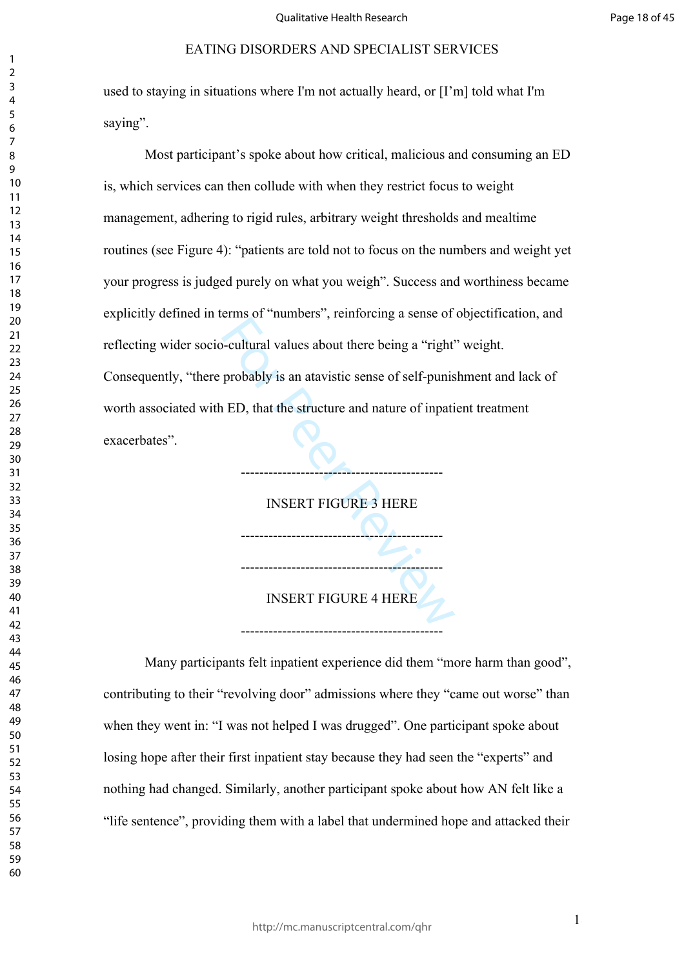used to staying in situations where I'm not actually heard, or [I'm] told what I'm saying".

For Peer Review Most participant's spoke about how critical, malicious and consuming an ED is, which services can then collude with when they restrict focus to weight management, adhering to rigid rules, arbitrary weight thresholds and mealtime routines (see Figure 4): "patients are told not to focus on the numbers and weight yet your progress is judged purely on what you weigh". Success and worthiness became explicitly defined in terms of "numbers", reinforcing a sense of objectification, and reflecting wider socio-cultural values about there being a "right" weight. Consequently, "there probably is an atavistic sense of self-punishment and lack of worth associated with ED, that the structure and nature of inpatient treatment exacerbates".

INSERT FIGURE 3 HERE  $-\sqrt{2}$ -------------------------------------------- INSERT FIGURE 4 HERE

--------------------------------------------

--------------------------------------------

Many participants felt inpatient experience did them "more harm than good", contributing to their "revolving door" admissions where they "came out worse" than when they went in: "I was not helped I was drugged". One participant spoke about losing hope after their first inpatient stay because they had seen the "experts" and nothing had changed. Similarly, another participant spoke about how AN felt like a "life sentence", providing them with a label that undermined hope and attacked their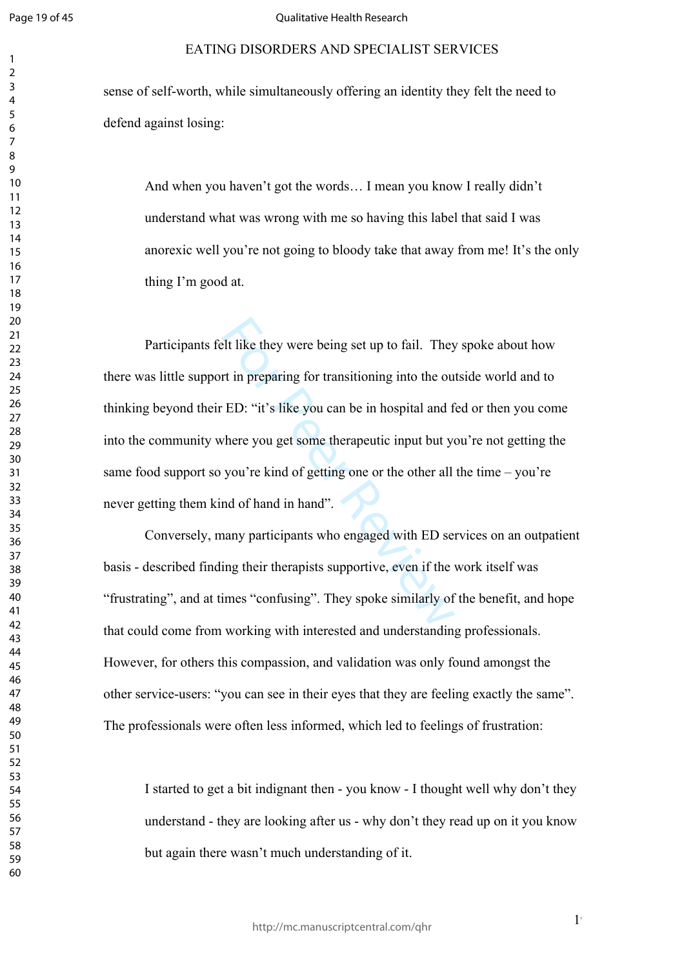$\mathbf{1}$  $\overline{2}$  $\overline{3}$  $\overline{4}$  $\overline{7}$ 

#### Qualitative Health Research

#### EATING DISORDERS AND SPECIALIST SERVICES

sense of self-worth, while simultaneously offering an identity they felt the need to defend against losing:

And when you haven't got the words… I mean you know I really didn't understand what was wrong with me so having this label that said I was anorexic well you're not going to bloody take that away from me! It's the only thing I'm good at.

expect the they were being set up to fail. They<br>the in preparing for transitioning into the ou-<br>ED: "it's like you can be in hospital and f<br>there you get some therapeutic input but yo-<br>you're kind of getting one or the oth Participants felt like they were being set up to fail. They spoke about how there was little support in preparing for transitioning into the outside world and to thinking beyond their ED: "it's like you can be in hospital and fed or then you come into the community where you get some therapeutic input but you're not getting the same food support so you're kind of getting one or the other all the time – you're never getting them kind of hand in hand".

Conversely, many participants who engaged with ED services on an outpatient basis - described finding their therapists supportive, even if the work itself was "frustrating", and at times "confusing". They spoke similarly of the benefit, and hope that could come from working with interested and understanding professionals. However, for others this compassion, and validation was only found amongst the other service-users: "you can see in their eyes that they are feeling exactly the same". The professionals were often less informed, which led to feelings of frustration:

I started to get a bit indignant then - you know - I thought well why don't they understand - they are looking after us - why don't they read up on it you know but again there wasn't much understanding of it.

 $1<sup>9</sup>$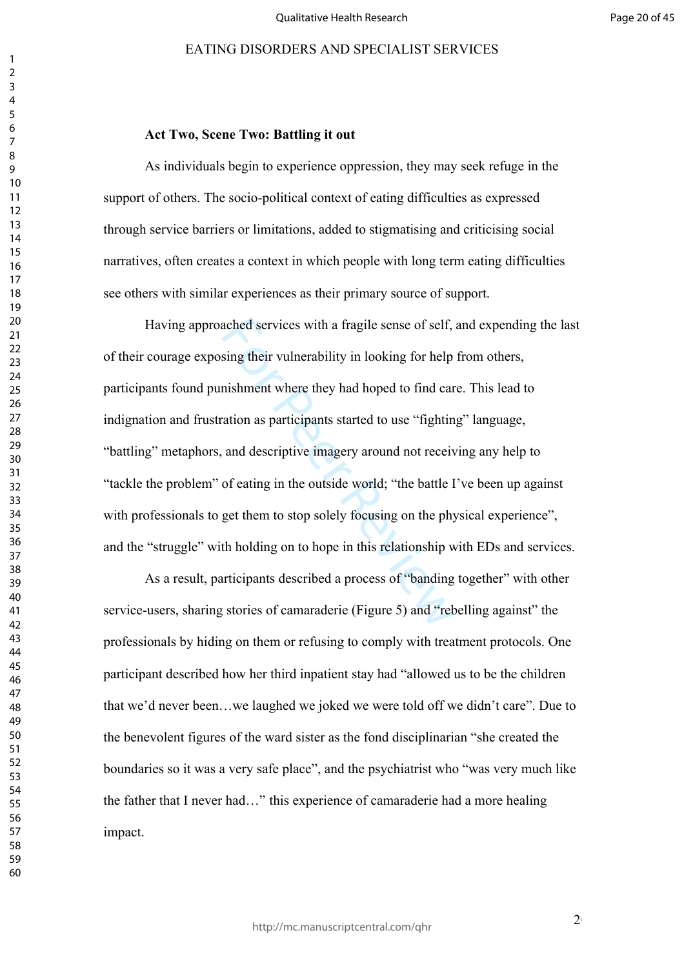#### 

 

#### **Act Two, Scene Two: Battling it out**

As individuals begin to experience oppression, they may seek refuge in the support of others. The socio-political context of eating difficulties as expressed through service barriers or limitations, added to stigmatising and criticising social narratives, often creates a context in which people with long term eating difficulties see others with similar experiences as their primary source of support.

ached services with a fragile sense of self,<br>sing their vulnerability in looking for help<br>nishment where they had hoped to find car<br>ation as participants started to use "fightin<br>and descriptive imagery around not receiv<br>of Having approached services with a fragile sense of self, and expending the last of their courage exposing their vulnerability in looking for help from others, participants found punishment where they had hoped to find care. This lead to indignation and frustration as participants started to use "fighting" language, "battling" metaphors, and descriptive imagery around not receiving any help to "tackle the problem" of eating in the outside world; "the battle I've been up against with professionals to get them to stop solely focusing on the physical experience". and the "struggle" with holding on to hope in this relationship with EDs and services.

As a result, participants described a process of "banding together" with other service-users, sharing stories of camaraderie (Figure 5) and "rebelling against" the professionals by hiding on them or refusing to comply with treatment protocols. One participant described how her third inpatient stay had "allowed us to be the children that we'd never been…we laughed we joked we were told off we didn't care". Due to the benevolent figures of the ward sister as the fond disciplinarian "she created the boundaries so it was a very safe place", and the psychiatrist who "was very much like the father that I never had…" this experience of camaraderie had a more healing impact.

 $2<sub>0</sub>$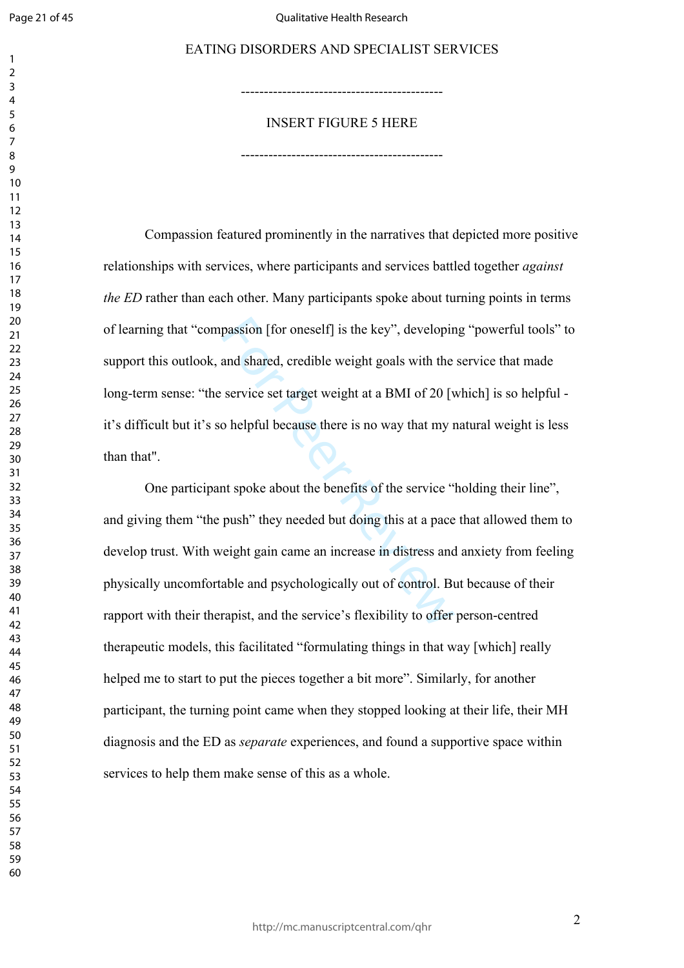$\mathbf{1}$  $\overline{2}$  $\overline{4}$  $\overline{7}$ 

#### Qualitative Health Research

#### EATING DISORDERS AND SPECIALIST SERVICES

-------------------------------------------- INSERT FIGURE 5 HERE

--------------------------------------------

Compassion featured prominently in the narratives that depicted more positive relationships with services, where participants and services battled together *against the ED* rather than each other. Many participants spoke about turning points in terms of learning that "compassion [for oneself] is the key", developing "powerful tools" to support this outlook, and shared, credible weight goals with the service that made long-term sense: "the service set target weight at a BMI of 20 [which] is so helpful it's difficult but it's so helpful because there is no way that my natural weight is less than that".

passion [for oneself] is the key", developire<br>and shared, credible weight goals with the<br>service set target weight at a BMI of 20 [v<br>o helpful because there is no way that my r<br>nt spoke about the benefits of the service "<br> One participant spoke about the benefits of the service "holding their line", and giving them "the push" they needed but doing this at a pace that allowed them to develop trust. With weight gain came an increase in distress and anxiety from feeling physically uncomfortable and psychologically out of control. But because of their rapport with their therapist, and the service's flexibility to offer person-centred therapeutic models, this facilitated "formulating things in that way [which] really helped me to start to put the pieces together a bit more". Similarly, for another participant, the turning point came when they stopped looking at their life, their MH diagnosis and the ED as *separate* experiences, and found a supportive space within services to help them make sense of this as a whole.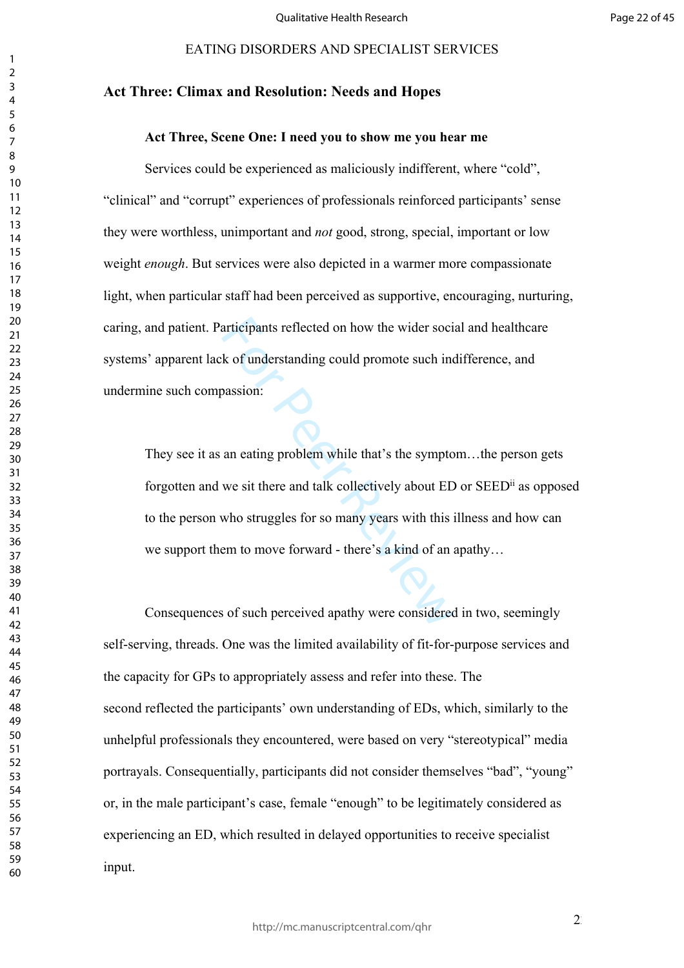#### **Act Three: Climax and Resolution: Needs and Hopes**

#### **Act Three, Scene One: I need you to show me you hear me**

Services could be experienced as maliciously indifferent, where "cold", "clinical" and "corrupt" experiences of professionals reinforced participants' sense they were worthless, unimportant and *not* good, strong, special, important or low weight *enough*. But services were also depicted in a warmer more compassionate light, when particular staff had been perceived as supportive, encouraging, nurturing, caring, and patient. Participants reflected on how the wider social and healthcare systems' apparent lack of understanding could promote such indifference, and undermine such compassion:

articipants reflected on how the wider sociant is a set of understanding could promote such incondension:<br>
A set of understanding could promote such incondensity<br>
an eating problem while that's the sympto<br>
we sit there and They see it as an eating problem while that's the symptom…the person gets forgotten and we sit there and talk collectively about ED or SEEDii as opposed to the person who struggles for so many years with this illness and how can we support them to move forward - there's a kind of an apathy…

Consequences of such perceived apathy were considered in two, seemingly self-serving, threads. One was the limited availability of fit-for-purpose services and the capacity for GPs to appropriately assess and refer into these. The second reflected the participants' own understanding of EDs, which, similarly to the unhelpful professionals they encountered, were based on very "stereotypical" media portrayals. Consequentially, participants did not consider themselves "bad", "young" or, in the male participant's case, female "enough" to be legitimately considered as experiencing an ED, which resulted in delayed opportunities to receive specialist input.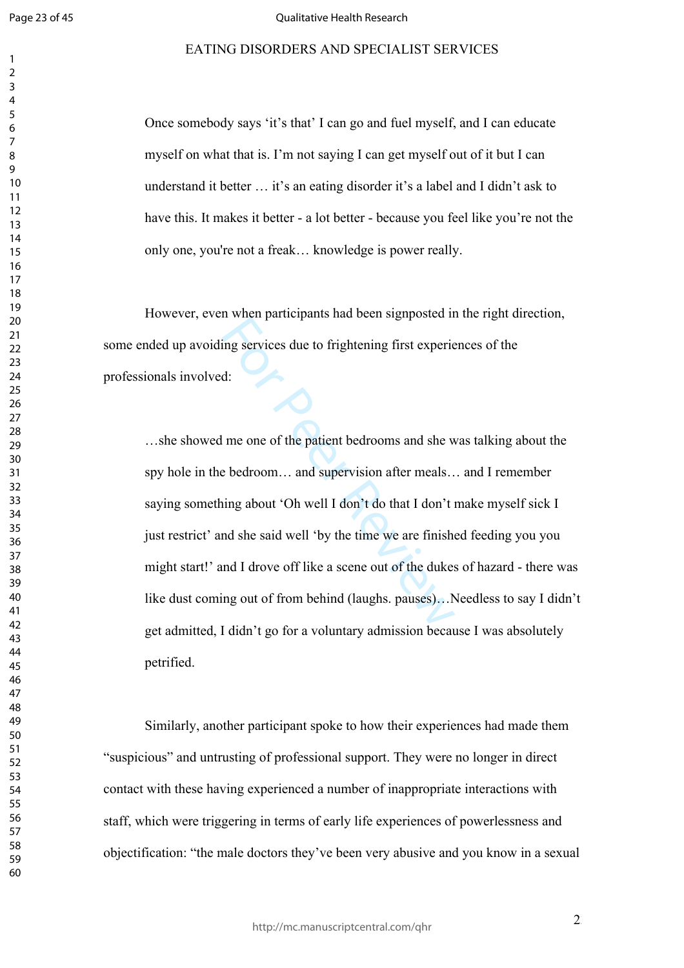$\mathbf{1}$  $\overline{2}$  $\overline{3}$  $\overline{4}$  $\overline{7}$ 

#### Qualitative Health Research

#### EATING DISORDERS AND SPECIALIST SERVICES

Once somebody says 'it's that' I can go and fuel myself, and I can educate myself on what that is. I'm not saying I can get myself out of it but I can understand it better … it's an eating disorder it's a label and I didn't ask to have this. It makes it better - a lot better - because you feel like you're not the only one, you're not a freak… knowledge is power really.

However, even when participants had been signposted in the right direction, some ended up avoiding services due to frightening first experiences of the professionals involved:

In when participants that seen signified in<br>d:<br>d:<br><br>me one of the patient bedrooms and she w<br>e bedroom... and supervision after meals...<br>ing about 'Oh well I don't do that I don't in<br>the said well 'by the time we are finish …she showed me one of the patient bedrooms and she was talking about the spy hole in the bedroom… and supervision after meals… and I remember saying something about 'Oh well I don't do that I don't make myself sick I just restrict' and she said well 'by the time we are finished feeding you you might start!' and I drove off like a scene out of the dukes of hazard - there was like dust coming out of from behind (laughs. pauses)...Needless to say I didn't get admitted, I didn't go for a voluntary admission because I was absolutely petrified.

Similarly, another participant spoke to how their experiences had made them "suspicious" and untrusting of professional support. They were no longer in direct contact with these having experienced a number of inappropriate interactions with staff, which were triggering in terms of early life experiences of powerlessness and objectification: "the male doctors they've been very abusive and you know in a sexual

 $\overline{2}$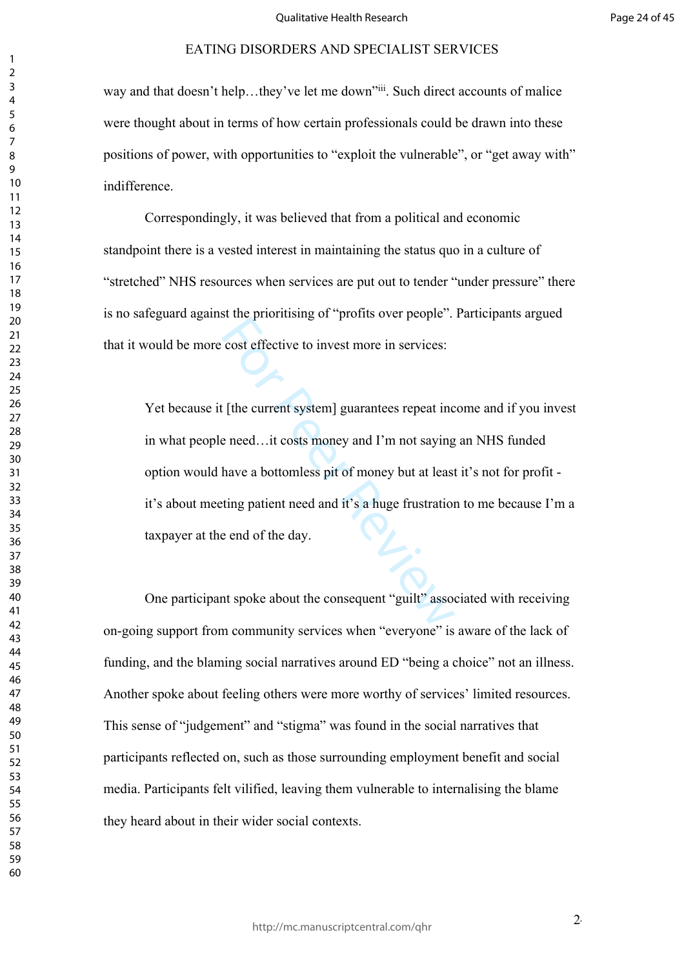way and that doesn't help...they've let me down"iii. Such direct accounts of malice were thought about in terms of how certain professionals could be drawn into these positions of power, with opportunities to "exploit the vulnerable", or "get away with" indifference.

Correspondingly, it was believed that from a political and economic standpoint there is a vested interest in maintaining the status quo in a culture of "stretched" NHS resources when services are put out to tender "under pressure" there is no safeguard against the prioritising of "profits over people". Participants argued that it would be more cost effective to invest more in services:

For the profite of profits over peepte.<br>
cost effective to invest more in services:<br>
For Peepte and European Services:<br>
For Peer Review and Fundamer and Fundamer and Tension<br>
the about the consequent "guilt" associates are Yet because it [the current system] guarantees repeat income and if you invest in what people need…it costs money and I'm not saying an NHS funded option would have a bottomless pit of money but at least it's not for profit it's about meeting patient need and it's a huge frustration to me because I'm a taxpayer at the end of the day.

One participant spoke about the consequent "guilt" associated with receiving on-going support from community services when "everyone" is aware of the lack of funding, and the blaming social narratives around ED "being a choice" not an illness. Another spoke about feeling others were more worthy of services' limited resources. This sense of "judgement" and "stigma" was found in the social narratives that participants reflected on, such as those surrounding employment benefit and social media. Participants felt vilified, leaving them vulnerable to internalising the blame they heard about in their wider social contexts.

 $2<sup>i</sup>$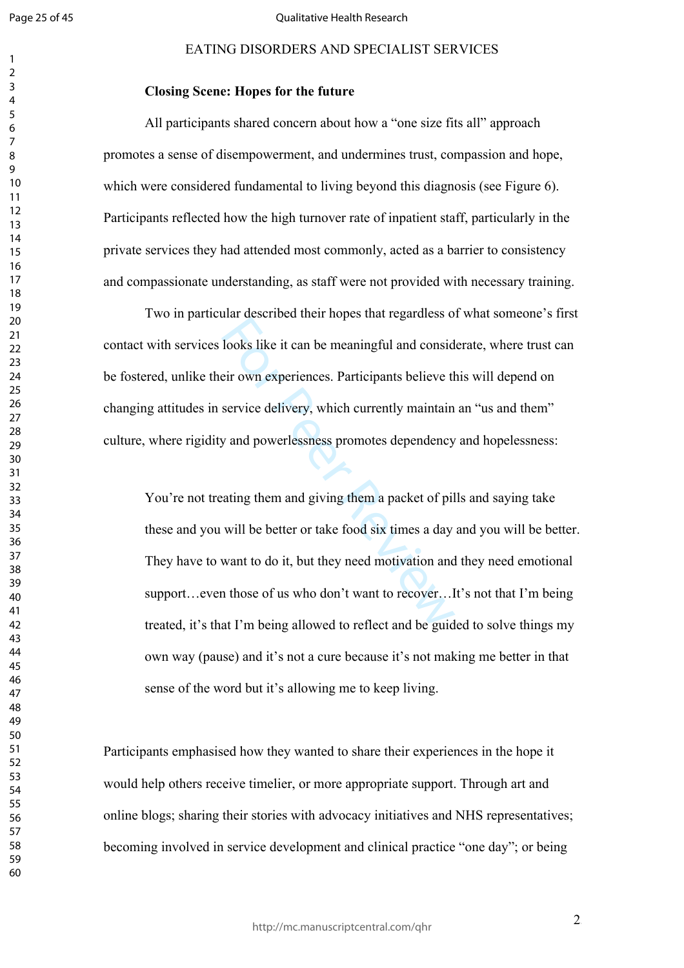$\mathbf{1}$  $\overline{2}$  $\overline{3}$  $\overline{4}$  $\overline{7}$ 

#### Qualitative Health Research

### EATING DISORDERS AND SPECIALIST SERVICES

#### **Closing Scene: Hopes for the future**

All participants shared concern about how a "one size fits all" approach promotes a sense of disempowerment, and undermines trust, compassion and hope, which were considered fundamental to living beyond this diagnosis (see Figure 6). Participants reflected how the high turnover rate of inpatient staff, particularly in the private services they had attended most commonly, acted as a barrier to consistency and compassionate understanding, as staff were not provided with necessary training.

Two in particular described their hopes that regardless of what someone's first contact with services looks like it can be meaningful and considerate, where trust can be fostered, unlike their own experiences. Participants believe this will depend on changing attitudes in service delivery, which currently maintain an "us and them" culture, where rigidity and powerlessness promotes dependency and hopelessness:

The absenced that repetitive that regulates of<br>looks like it can be meaningful and consid<br>eir own experiences. Participants believe th<br>service delivery, which currently maintain<br>y and powerlessness promotes dependency<br>atin You're not treating them and giving them a packet of pills and saying take these and you will be better or take food six times a day and you will be better. They have to want to do it, but they need motivation and they need emotional support…even those of us who don't want to recover…It's not that I'm being treated, it's that I'm being allowed to reflect and be guided to solve things my own way (pause) and it's not a cure because it's not making me better in that sense of the word but it's allowing me to keep living.

Participants emphasised how they wanted to share their experiences in the hope it would help others receive timelier, or more appropriate support. Through art and online blogs; sharing their stories with advocacy initiatives and NHS representatives; becoming involved in service development and clinical practice "one day"; or being

 $2<sup>5</sup>$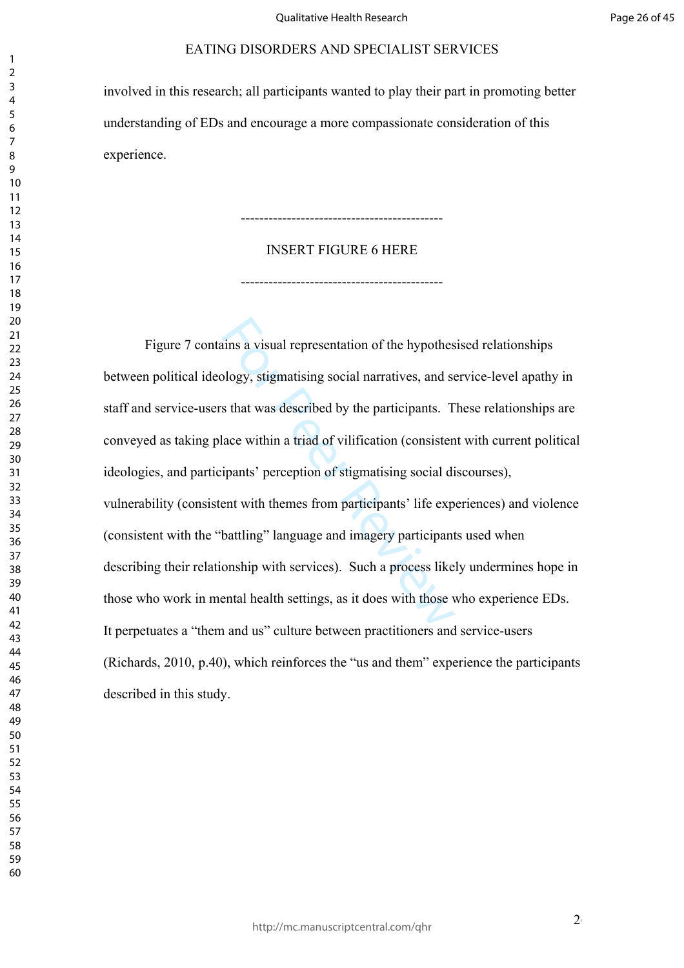involved in this research; all participants wanted to play their part in promoting better understanding of EDs and encourage a more compassionate consideration of this experience.

#### INSERT FIGURE 6 HERE

--------------------------------------------

--------------------------------------------

stigmation of the hypothes<br>plogy, stigmatising social narratives, and set sthat was described by the participants. T<br>lace within a triad of vilification (consisten<br>ipants' perception of stigmatising social di<br>ent with them Figure 7 contains a visual representation of the hypothesised relationships between political ideology, stigmatising social narratives, and service-level apathy in staff and service-users that was described by the participants. These relationships are conveyed as taking place within a triad of vilification (consistent with current political ideologies, and participants' perception of stigmatising social discourses), vulnerability (consistent with themes from participants' life experiences) and violence (consistent with the "battling" language and imagery participants used when describing their relationship with services). Such a process likely undermines hope in those who work in mental health settings, as it does with those who experience EDs. It perpetuates a "them and us" culture between practitioners and service-users (Richards, 2010, p.40), which reinforces the "us and them" experience the participants described in this study.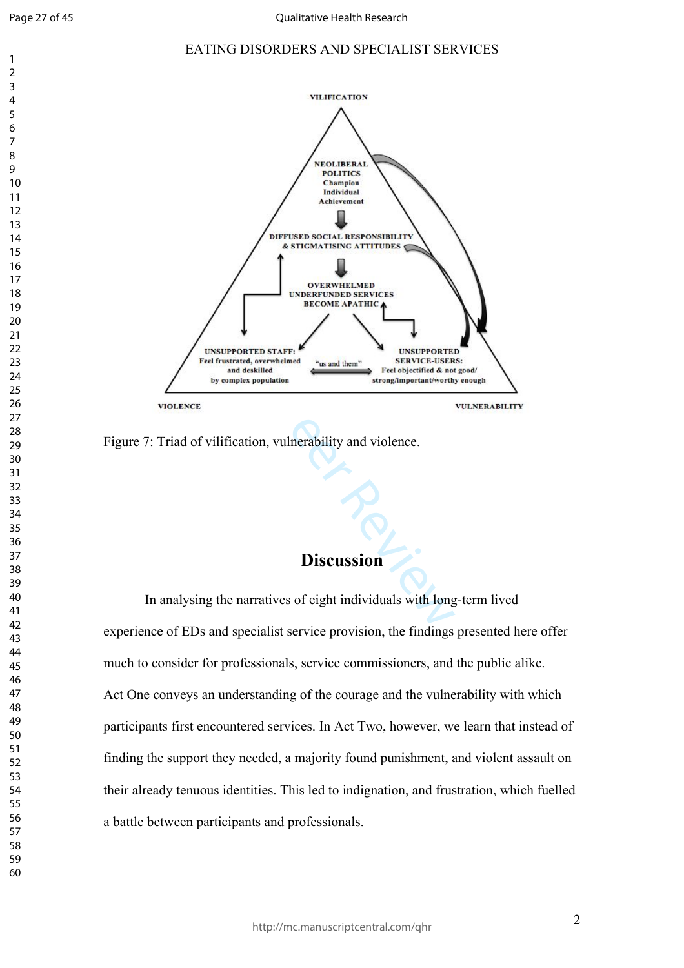$\overline{4}$  $\overline{7}$ 

 $\mathbf{1}$  $\overline{2}$ 

#### EATING DISORDERS AND SPECIALIST SERVICES



Figure 7: Triad of vilification, vulnerability and violence.

# **Discussion**

In analysing the narratives of eight individuals with long-term lived experience of EDs and specialist service provision, the findings presented here offer much to consider for professionals, service commissioners, and the public alike. Act One conveys an understanding of the courage and the vulnerability with which participants first encountered services. In Act Two, however, we learn that instead of finding the support they needed, a majority found punishment, and violent assault on their already tenuous identities. This led to indignation, and frustration, which fuelled a battle between participants and professionals.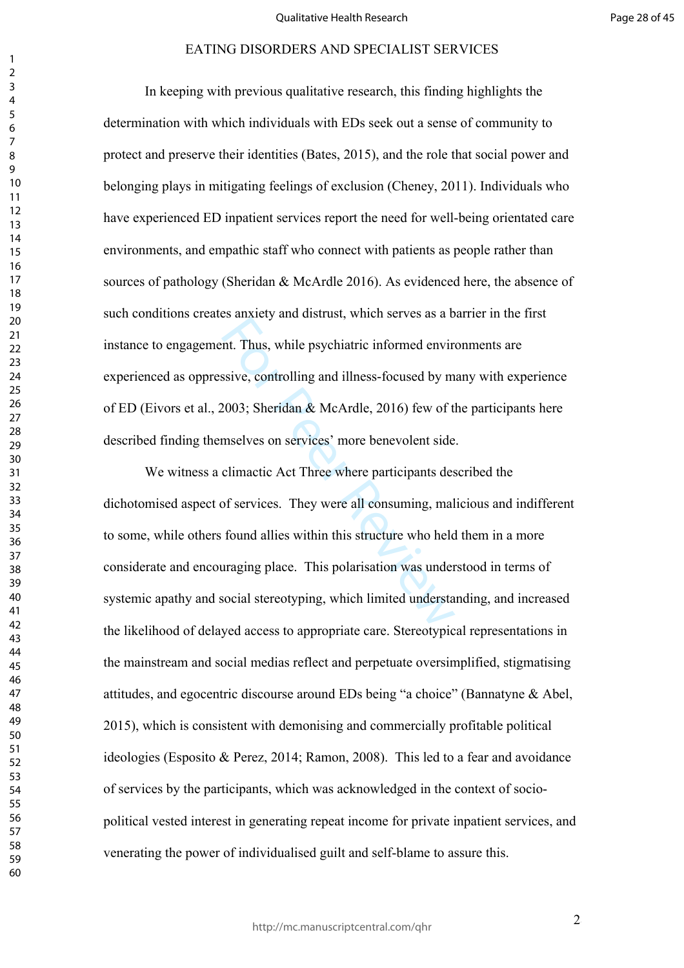In keeping with previous qualitative research, this finding highlights the determination with which individuals with EDs seek out a sense of community to protect and preserve their identities (Bates, 2015), and the role that social power and belonging plays in mitigating feelings of exclusion (Cheney, 2011). Individuals who have experienced ED inpatient services report the need for well-being orientated care environments, and empathic staff who connect with patients as people rather than sources of pathology (Sheridan & McArdle 2016). As evidenced here, the absence of such conditions creates anxiety and distrust, which serves as a barrier in the first instance to engagement. Thus, while psychiatric informed environments are experienced as oppressive, controlling and illness-focused by many with experience of ED (Eivors et al., 2003; Sheridan & McArdle, 2016) few of the participants here described finding themselves on services' more benevolent side.

Int. Thus, while psychiatric informed envirant.<br>Int. Thus, while psychiatric informed envirantsive, controlling and illness-focused by m<br>2003; Sheridan & McArdle, 2016) few of t<br>mselves on services' more benevolent side<br>cl We witness a climactic Act Three where participants described the dichotomised aspect of services. They were all consuming, malicious and indifferent to some, while others found allies within this structure who held them in a more considerate and encouraging place. This polarisation was understood in terms of systemic apathy and social stereotyping, which limited understanding, and increased the likelihood of delayed access to appropriate care. Stereotypical representations in the mainstream and social medias reflect and perpetuate oversimplified, stigmatising attitudes, and egocentric discourse around EDs being "a choice" (Bannatyne & Abel, 2015), which is consistent with demonising and commercially profitable political ideologies (Esposito & Perez, 2014; Ramon, 2008). This led to a fear and avoidance of services by the participants, which was acknowledged in the context of sociopolitical vested interest in generating repeat income for private inpatient services, and venerating the power of individualised guilt and self-blame to assure this.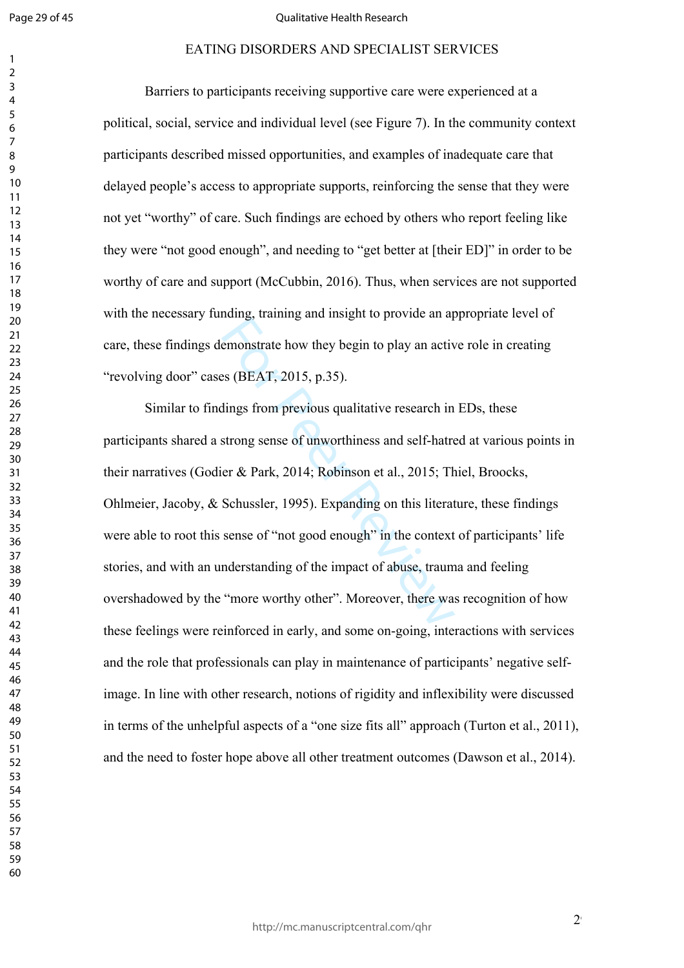$\mathbf{1}$  $\overline{2}$ 

#### Qualitative Health Research

#### EATING DISORDERS AND SPECIALIST SERVICES

Barriers to participants receiving supportive care were experienced at a political, social, service and individual level (see Figure 7). In the community context participants described missed opportunities, and examples of inadequate care that delayed people's access to appropriate supports, reinforcing the sense that they were not yet "worthy" of care. Such findings are echoed by others who report feeling like they were "not good enough", and needing to "get better at [their ED]" in order to be worthy of care and support (McCubbin, 2016). Thus, when services are not supported with the necessary funding, training and insight to provide an appropriate level of care, these findings demonstrate how they begin to play an active role in creating "revolving door" cases (BEAT, 2015, p.35).

Example 10 provide an applementative statement<br>states (BEAT, 2015, p.35).<br>dings from previous qualitative research in<br>strong sense of unworthiness and self-hatre<br>er & Park, 2014; Robinson et al., 2015; Th<br>Schussler, 1995). Similar to findings from previous qualitative research in EDs, these participants shared a strong sense of unworthiness and self-hatred at various points in their narratives (Godier & Park, 2014; Robinson et al., 2015; Thiel, Broocks, Ohlmeier, Jacoby, & Schussler, 1995). Expanding on this literature, these findings were able to root this sense of "not good enough" in the context of participants' life stories, and with an understanding of the impact of abuse, trauma and feeling overshadowed by the "more worthy other". Moreover, there was recognition of how these feelings were reinforced in early, and some on-going, interactions with services and the role that professionals can play in maintenance of participants' negative selfimage. In line with other research, notions of rigidity and inflexibility were discussed in terms of the unhelpful aspects of a "one size fits all" approach (Turton et al., 2011), and the need to foster hope above all other treatment outcomes (Dawson et al., 2014).

 $2<sup>9</sup>$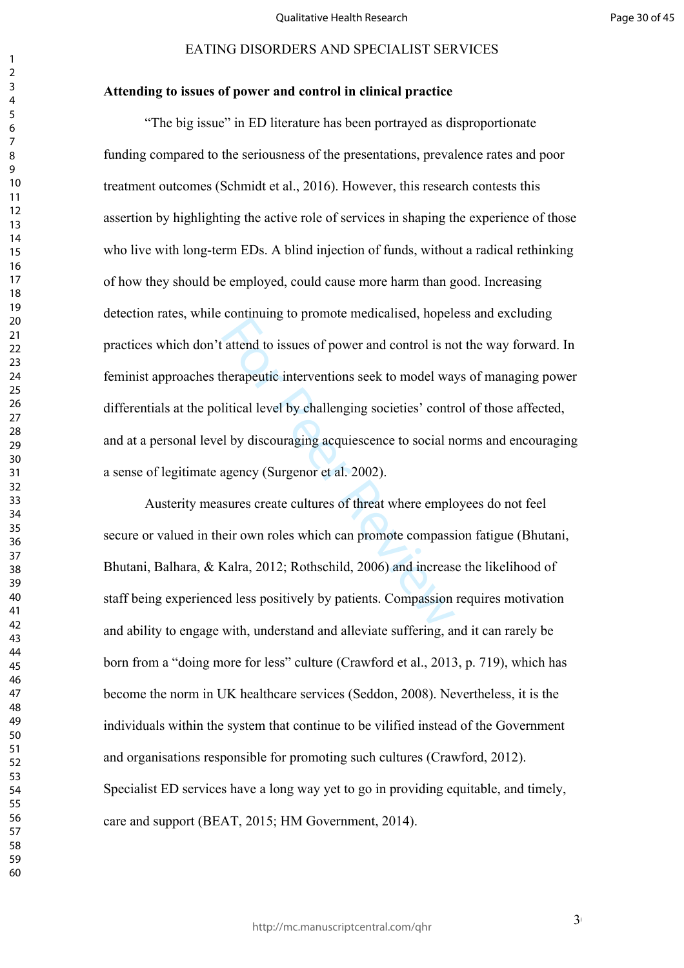#### **Attending to issues of power and control in clinical practice**

Example to issues of power and control is not<br>herapeutic interventions seek to model ware<br>litical level by challenging societies' contri<br>litical level by challenging societies' contri<br>litical level by challenging societies "The big issue" in ED literature has been portrayed as disproportionate funding compared to the seriousness of the presentations, prevalence rates and poor treatment outcomes (Schmidt et al., 2016). However, this research contests this assertion by highlighting the active role of services in shaping the experience of those who live with long-term ED<sub>s</sub>. A blind injection of funds, without a radical rethinking of how they should be employed, could cause more harm than good. Increasing detection rates, while continuing to promote medicalised, hopeless and excluding practices which don't attend to issues of power and control is not the way forward. In feminist approaches therapeutic interventions seek to model ways of managing power differentials at the political level by challenging societies' control of those affected, and at a personal level by discouraging acquiescence to social norms and encouraging a sense of legitimate agency (Surgenor et al. 2002).

Austerity measures create cultures of threat where employees do not feel secure or valued in their own roles which can promote compassion fatigue (Bhutani, Bhutani, Balhara, & Kalra, 2012; Rothschild, 2006) and increase the likelihood of staff being experienced less positively by patients. Compassion requires motivation and ability to engage with, understand and alleviate suffering, and it can rarely be born from a "doing more for less" culture (Crawford et al., 2013, p. 719), which has become the norm in UK healthcare services (Seddon, 2008). Nevertheless, it is the individuals within the system that continue to be vilified instead of the Government and organisations responsible for promoting such cultures (Crawford, 2012). Specialist ED services have a long way yet to go in providing equitable, and timely, care and support (BEAT, 2015; HM Government, 2014).

 $3<sup>0</sup>$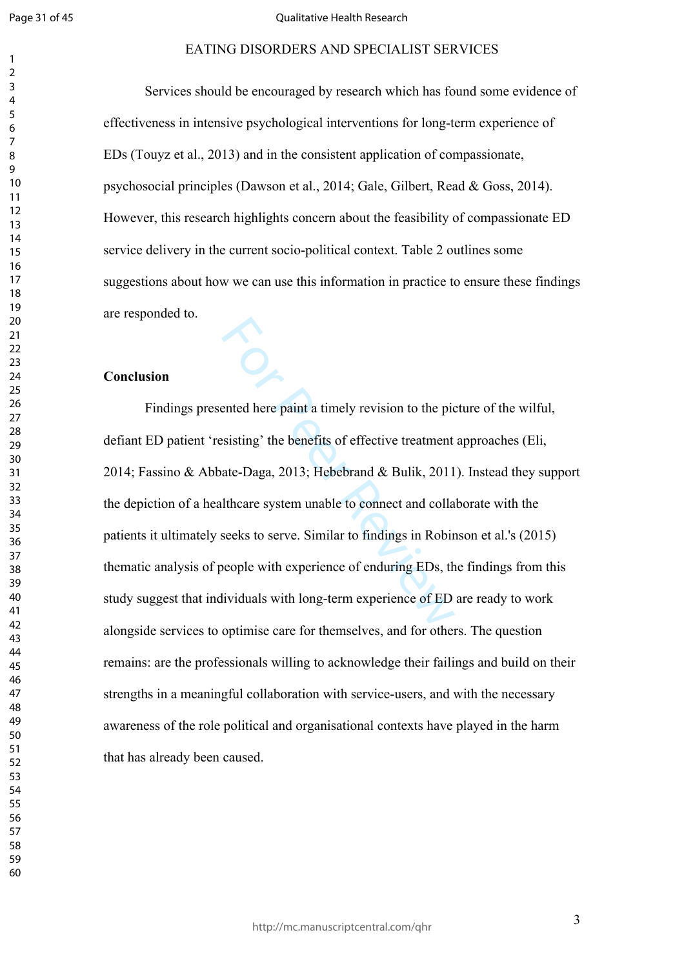$\mathbf{1}$  $\overline{2}$ 

#### Qualitative Health Research

#### EATING DISORDERS AND SPECIALIST SERVICES

Services should be encouraged by research which has found some evidence of effectiveness in intensive psychological interventions for long-term experience of EDs (Touyz et al., 2013) and in the consistent application of compassionate, psychosocial principles (Dawson et al., 2014; Gale, Gilbert, Read & Goss, 2014). However, this research highlights concern about the feasibility of compassionate ED service delivery in the current socio-political context. Table 2 outlines some suggestions about how we can use this information in practice to ensure these findings are responded to.

#### **Conclusion**

ented here paint a timely revision to the pictor<br>sisting' the benefits of effective treatment<br>ate-Daga, 2013; Hebebrand & Bulik, 2011<br>Ithcare system unable to connect and colla<br>seeks to serve. Similar to findings in Robin<br> Findings presented here paint a timely revision to the picture of the wilful, defiant ED patient 'resisting' the benefits of effective treatment approaches (Eli, 2014; Fassino & Abbate-Daga, 2013; Hebebrand & Bulik, 2011). Instead they support the depiction of a healthcare system unable to connect and collaborate with the patients it ultimately seeks to serve. Similar to findings in Robinson et al.'s (2015) thematic analysis of people with experience of enduring EDs, the findings from this study suggest that individuals with long-term experience of ED are ready to work alongside services to optimise care for themselves, and for others. The question remains: are the professionals willing to acknowledge their failings and build on their strengths in a meaningful collaboration with service-users, and with the necessary awareness of the role political and organisational contexts have played in the harm that has already been caused.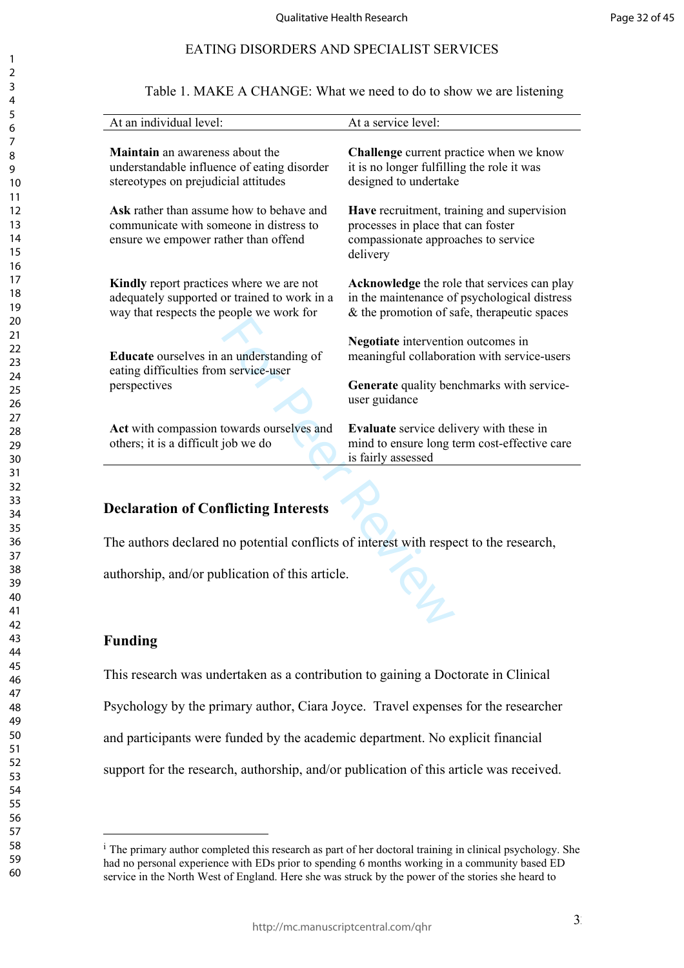Table 1. MAKE A CHANGE: What we need to do to show we are listening

| At an individual level:                                                                                                                                                                                                                               | At a service level:                                                                                                                                                                                                                                   |  |  |  |  |
|-------------------------------------------------------------------------------------------------------------------------------------------------------------------------------------------------------------------------------------------------------|-------------------------------------------------------------------------------------------------------------------------------------------------------------------------------------------------------------------------------------------------------|--|--|--|--|
| Maintain an awareness about the<br>understandable influence of eating disorder<br>stereotypes on prejudicial attitudes<br>Ask rather than assume how to behave and<br>communicate with someone in distress to<br>ensure we empower rather than offend | Challenge current practice when we know<br>it is no longer fulfilling the role it was<br>designed to undertake<br>Have recruitment, training and supervision<br>processes in place that can foster<br>compassionate approaches to service<br>delivery |  |  |  |  |
| Kindly report practices where we are not<br>adequately supported or trained to work in a<br>way that respects the people we work for<br>Educate ourselves in an understanding of<br>eating difficulties from service-user                             | Acknowledge the role that services can play<br>in the maintenance of psychological distress<br>$&$ the promotion of safe, therapeutic spaces<br>Negotiate intervention outcomes in<br>meaningful collaboration with service-users                     |  |  |  |  |
| perspectives<br>Act with compassion towards ourselves and<br>others; it is a difficult job we do                                                                                                                                                      | Generate quality benchmarks with service-<br>user guidance<br><b>Evaluate</b> service delivery with these in<br>mind to ensure long term cost-effective care                                                                                          |  |  |  |  |
| is fairly assessed<br><b>Declaration of Conflicting Interests</b><br>The authors declared no potential conflicts of interest with respect to the research,<br>authorship, and/or publication of this article.                                         |                                                                                                                                                                                                                                                       |  |  |  |  |

# **Declaration of Conflicting Interests**

### **Funding**

This research was undertaken as a contribution to gaining a Doctorate in Clinical Psychology by the primary author, Ciara Joyce. Travel expenses for the researcher and participants were funded by the academic department. No explicit financial support for the research, authorship, and/or publication of this article was received.

<sup>&</sup>lt;sup>i</sup> The primary author completed this research as part of her doctoral training in clinical psychology. She had no personal experience with EDs prior to spending 6 months working in a community based ED service in the North West of England. Here she was struck by the power of the stories she heard to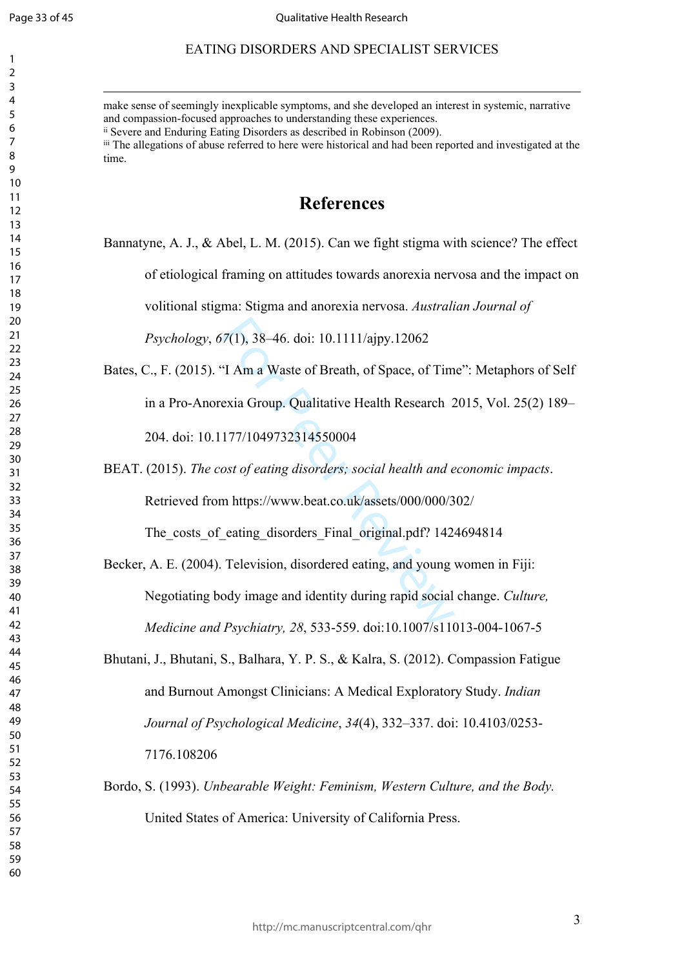$\mathbf{1}$  $\overline{2}$  $\overline{3}$  $\overline{4}$ 

#### EATING DISORDERS AND SPECIALIST SERVICES

make sense of seemingly inexplicable symptoms, and she developed an interest in systemic, narrative and compassion-focused approaches to understanding these experiences. ii Severe and Enduring Eating Disorders as described in Robinson (2009). iii The allegations of abuse referred to here were historical and had been reported and investigated at the time.

# **References**

Bannatyne, A. J., & Abel, L. M. (2015). Can we fight stigma with science? The effect

of etiological framing on attitudes towards anorexia nervosa and the impact on

volitional stigma: Stigma and anorexia nervosa. *Australian Journal of* 

*Psychology*, *67*(1), 38–46. doi: 10.1111/ajpy.12062

Bates, C., F. (2015). "I Am a Waste of Breath, of Space, of Time": Metaphors of Self in a Pro-Anorexia Group. Qualitative Health Research 2015, Vol. 25(2) 189–

204. doi: 10.1177/1049732314550004

BEAT. (2015). *The cost of eating disorders; social health and economic impacts* .

Retrieved from https://www.beat.co.uk/assets/000/000/302/

The costs of eating disorders Final original.pdf? 1424694814

- 7(1), 38–46. doi: 10.1111/ajpy.12062<br>
T Am a Waste of Breath, of Space, of Tim<br>
exia Group. Qualitative Health Research 2<br>
177/1049732314550004<br>
ost of eating disorders; social health and e<br>
m https://www.beat.co.uk/asset Becker, A. E. (2004). Television, disordered eating, and young women in Fiji: Negotiating body image and identity during rapid social change. *Culture, Medicine and Psychiatry, 28*, 533-559. doi:10.1007/s11013-004-1067-5
- Bhutani, J., Bhutani, S., Balhara, Y. P. S., & Kalra, S. (2012). Compassion Fatigue and Burnout Amongst Clinicians: A Medical Exploratory Study. *Indian Journal of Psychological Medicine*, *34*(4), 332–337. doi: 10.4103/0253- 7176.108206
- Bordo, S. (1993). *Unbearable Weight: Feminism, Western Culture, and the Body.* United States of America: University of California Press.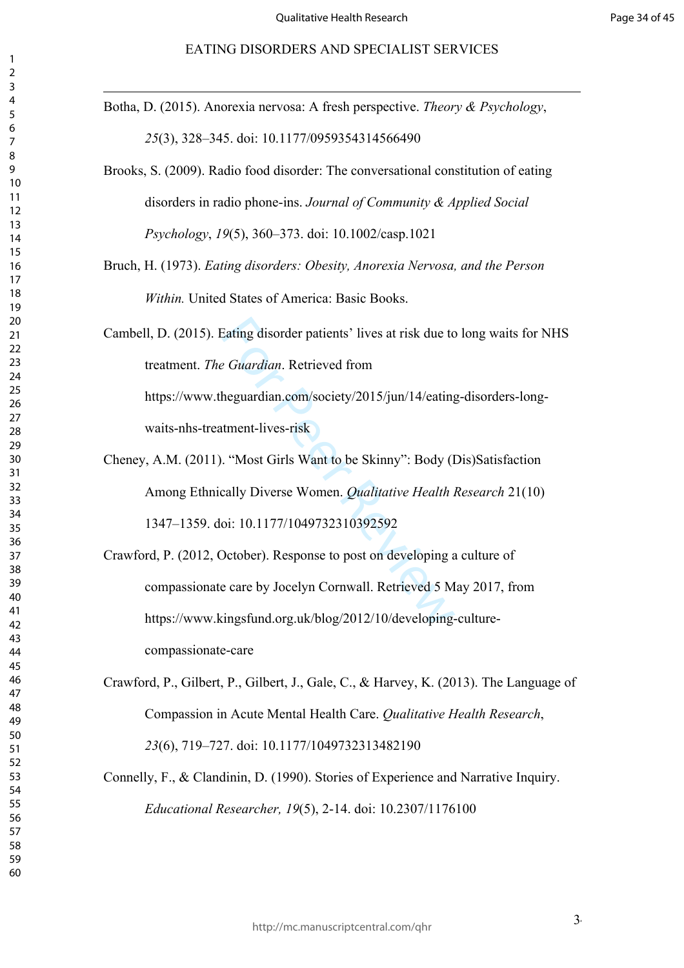Botha, D. (2015). Anorexia nervosa: A fresh perspective. *Theory & Psychology*, (3), 328–345. doi: 10.1177/0959354314566490

Brooks, S. (2009). Radio food disorder: The conversational constitution of eating disorders in radio phone-ins. *Journal of Community & Applied Social Psychology*, *19*(5), 360–373. doi: 10.1002/casp.1021

Bruch, H. (1973). *Eating disorders: Obesity, Anorexia Nervosa, and the Person Within.* United States of America: Basic Books.

Eating disorder patients' lives at risk due to<br>
2 *Guardian*. Retrieved from<br>
heguardian.com/society/2015/jun/14/eating<br>
tment-lives-risk<br>
. "Most Girls Want to be Skinny": Body (I<br>
cally Diverse Women. *Qualitative Health* Cambell, D. (2015). Eating disorder patients' lives at risk due to long waits for NHS treatment. *The Guardian*. Retrieved from https://www.theguardian.com/society/2015/jun/14/eating-disorders-longwaits-nhs-treatment-lives-risk

Cheney, A.M. (2011). "Most Girls Want to be Skinny": Body (Dis)Satisfaction Among Ethnically Diverse Women. *Qualitative Health Research* 21(10) 1347–1359. doi: 10.1177/1049732310392592

Crawford, P. (2012, October). Response to post on developing a culture of compassionate care by Jocelyn Cornwall. Retrieved 5 May 2017, from https://www.kingsfund.org.uk/blog/2012/10/developing-culturecompassionate-care

Crawford, P., Gilbert, P., Gilbert, J., Gale, C., & Harvey, K. (2013). The Language of Compassion in Acute Mental Health Care. *Qualitative Health Research*, (6), 719–727. doi: 10.1177/1049732313482190

Connelly, F., & Clandinin, D. (1990). Stories of Experience and Narrative Inquiry. *Educational Researcher, 19*(5), 2-14. doi: 10.2307/1176100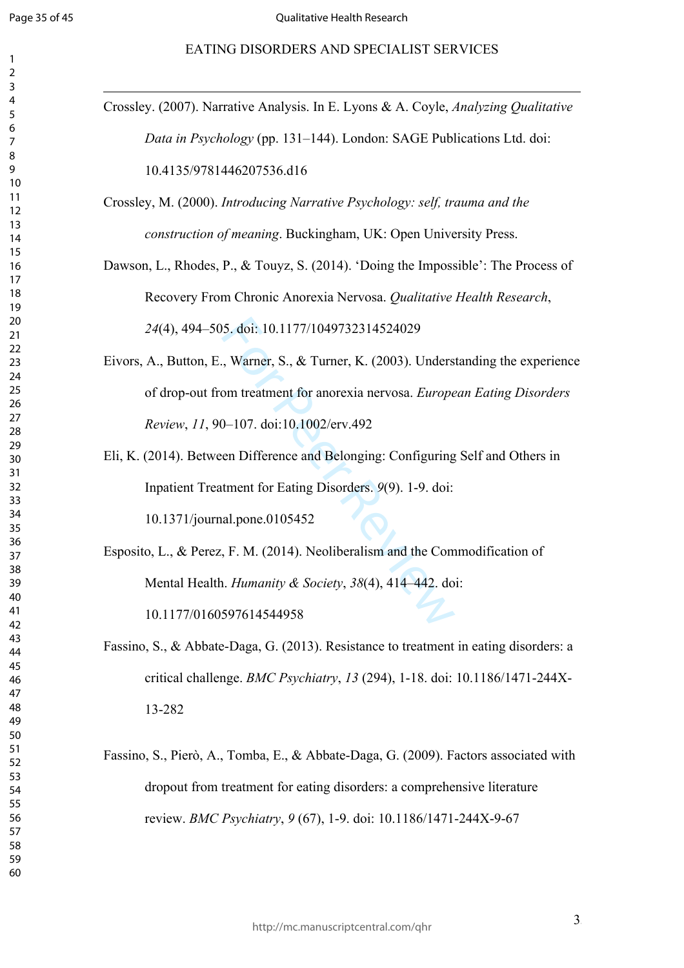$\mathbf{1}$  $\overline{2}$  $\overline{3}$  $\overline{4}$  $\overline{7}$  $\overline{9}$ 

#### EATING DISORDERS AND SPECIALIST SERVICES

| Crossley. (2007). Narrative Analysis. In E. Lyons & A. Coyle, <i>Analyzing Qualitative</i> |
|--------------------------------------------------------------------------------------------|
| Data in Psychology (pp. 131-144). London: SAGE Publications Ltd. doi:                      |
| 10.4135/9781446207536.d16                                                                  |
| Crossley, M. (2000). Introducing Narrative Psychology: self, trauma and the                |
| construction of meaning. Buckingham, UK: Open University Press.                            |
| Dawson, L., Rhodes, P., & Touyz, S. (2014). 'Doing the Impossible': The Process of         |
| Recovery From Chronic Anorexia Nervosa. Qualitative Health Research,                       |
| 24(4), 494-505. doi: 10.1177/1049732314524029                                              |
| Eivors, A., Button, E., Warner, S., & Turner, K. (2003). Understanding the experience      |
| of drop-out from treatment for anorexia nervosa. European Eating Disorders                 |
| Review, 11, 90-107. doi:10.1002/erv.492                                                    |
| Eli, K. (2014). Between Difference and Belonging: Configuring Self and Others in           |
| Inpatient Treatment for Eating Disorders. 9(9). 1-9. doi:                                  |
| 10.1371/journal.pone.0105452                                                               |
| Esposito, L., & Perez, F. M. (2014). Neoliberalism and the Commodification of              |
| Mental Health. <i>Humanity &amp; Society</i> , 38(4), 414–442. doi:                        |
| 10.1177/0160597614544958                                                                   |
| Fassino, S., & Abbate-Daga, G. (2013). Resistance to treatment in eating disorders: a      |
| critical challenge. BMC Psychiatry, 13 (294), 1-18. doi: 10.1186/1471-244X-                |
| 13-282                                                                                     |
| Fassino, S., Pierò, A., Tomba, E., & Abbate-Daga, G. (2009). Factors associated with       |
| dropout from treatment for eating disorders: a comprehensive literature                    |
| review. BMC Psychiatry, 9 (67), 1-9. doi: 10.1186/1471-244X-9-67                           |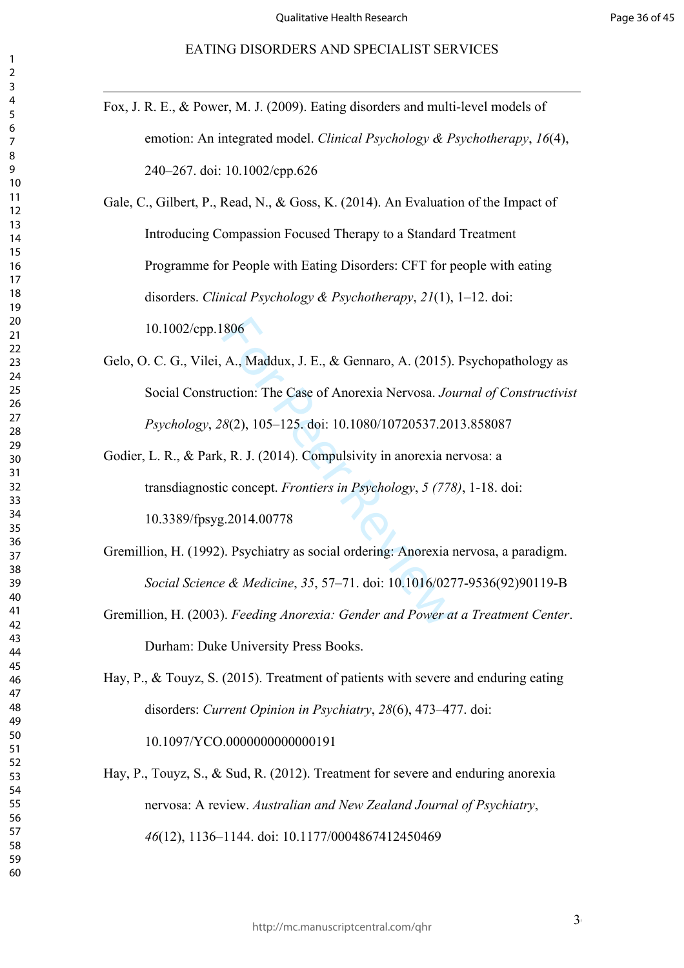Fox, J. R. E., & Power, M. J. (2009). Eating disorders and multi-level models of emotion: An integrated model. *Clinical Psychology & Psychotherapy*, *16*(4), 240–267. doi: 10.1002/cpp.626

Gale, C., Gilbert, P., Read, N., & Goss, K. (2014). An Evaluation of the Impact of Introducing Compassion Focused Therapy to a Standard Treatment Programme for People with Eating Disorders: CFT for people with eating disorders. *Clinical Psychology & Psychotherapy*, *21*(1), 1–12. doi: 10.1002/cpp.1806

- 806<br>
A., Maddux, J. E., & Gennaro, A. (2015).<br>
uction: The Case of Anorexia Nervosa. *Jot*<br>
8(2), 105–125. doi: 10.1080/10720537.20<br>
., R. J. (2014). Compulsivity in anorexia ne<br>
c concept. *Frontiers in Psychology*, 5 (7 Gelo, O. C. G., Vilei, A., Maddux, J. E., & Gennaro, A. (2015). Psychopathology as Social Construction: The Case of Anorexia Nervosa. *Journal of Constructivist Psychology*, *28*(2), 105–125. doi: 10.1080/10720537.2013.858087
- Godier, L. R., & Park, R. J. (2014). Compulsivity in anorexia nervosa: a transdiagnostic concept. *Frontiers in Psychology*, *5 (778)*, 1-18. doi: 10.3389/fpsyg.2014.00778
- Gremillion, H. (1992). Psychiatry as social ordering: Anorexia nervosa, a paradigm. *Social Science & Medicine*, *35*, 57–71. doi: 10.1016/0277-9536(92)90119-B
- Gremillion, H. (2003). *Feeding Anorexia: Gender and Power at a Treatment Center*. Durham: Duke University Press Books.

Hay, P., & Touyz, S. (2015). Treatment of patients with severe and enduring eating disorders: *Current Opinion in Psychiatry*, *28*(6), 473–477. doi: 10.1097/YCO.0000000000000191

Hay, P., Touyz, S., & Sud, R. (2012). Treatment for severe and enduring anorexia nervosa: A review. *Australian and New Zealand Journal of Psychiatry*, (12), 1136–1144. doi: 10.1177/0004867412450469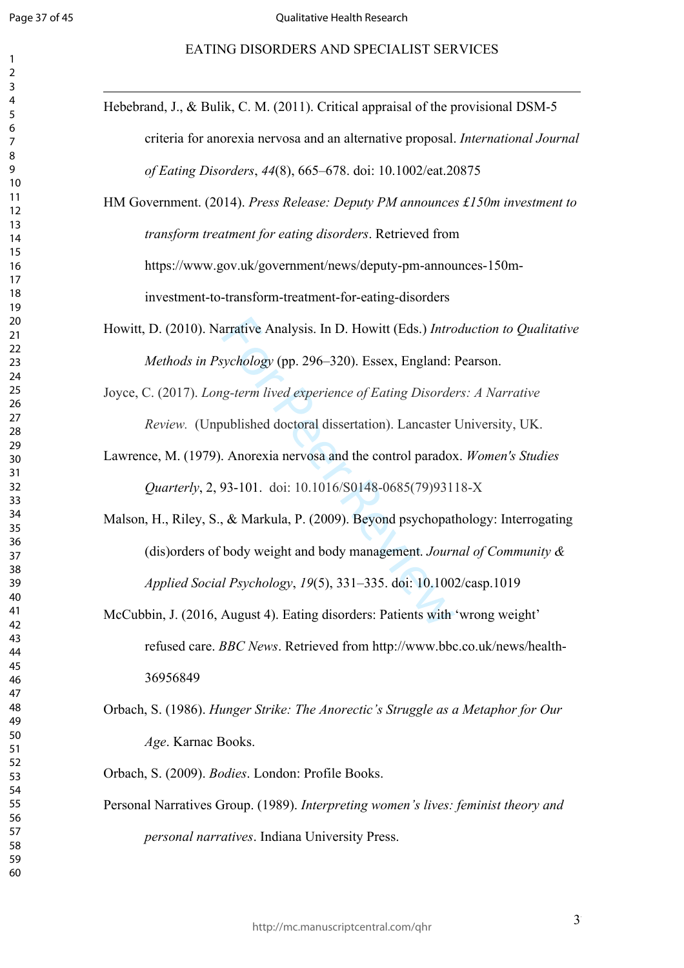$\mathbf{1}$ 

#### EATING DISORDERS AND SPECIALIST SERVICES

| Hebebrand, J., & Bulik, C. M. (2011). Critical appraisal of the provisional DSM-5      |
|----------------------------------------------------------------------------------------|
| criteria for anorexia nervosa and an alternative proposal. International Journal       |
| of Eating Disorders, 44(8), 665–678. doi: 10.1002/eat.20875                            |
| HM Government. (2014). Press Release: Deputy PM announces £150m investment to          |
| transform treatment for eating disorders. Retrieved from                               |
| https://www.gov.uk/government/news/deputy-pm-announces-150m-                           |
| investment-to-transform-treatment-for-eating-disorders                                 |
| Howitt, D. (2010). Narrative Analysis. In D. Howitt (Eds.) Introduction to Qualitative |
| Methods in Psychology (pp. 296–320). Essex, England: Pearson.                          |
|                                                                                        |
| Joyce, C. (2017). Long-term lived experience of Eating Disorders: A Narrative          |
| Review. (Unpublished doctoral dissertation). Lancaster University, UK.                 |
| Lawrence, M. (1979). Anorexia nervosa and the control paradox. Women's Studies         |
| <i>Quarterly</i> , 2, 93-101. doi: 10.1016/S0148-0685(79)93118-X                       |
| Malson, H., Riley, S., & Markula, P. (2009). Beyond psychopathology: Interrogating     |
| (dis) orders of body weight and body management. Journal of Community $\&$             |
| Applied Social Psychology, 19(5), 331-335. doi: 10.1002/casp.1019                      |
|                                                                                        |
| McCubbin, J. (2016, August 4). Eating disorders: Patients with 'wrong weight'          |
| refused care. BBC News. Retrieved from http://www.bbc.co.uk/news/health-               |
| 36956849                                                                               |
| Orbach, S. (1986). Hunger Strike: The Anorectic's Struggle as a Metaphor for Our       |
|                                                                                        |
| Age. Karnac Books.                                                                     |
| Orbach, S. (2009). Bodies. London: Profile Books.                                      |
| Personal Narratives Group. (1989). Interpreting women's lives: feminist theory and     |
| personal narratives. Indiana University Press.                                         |
|                                                                                        |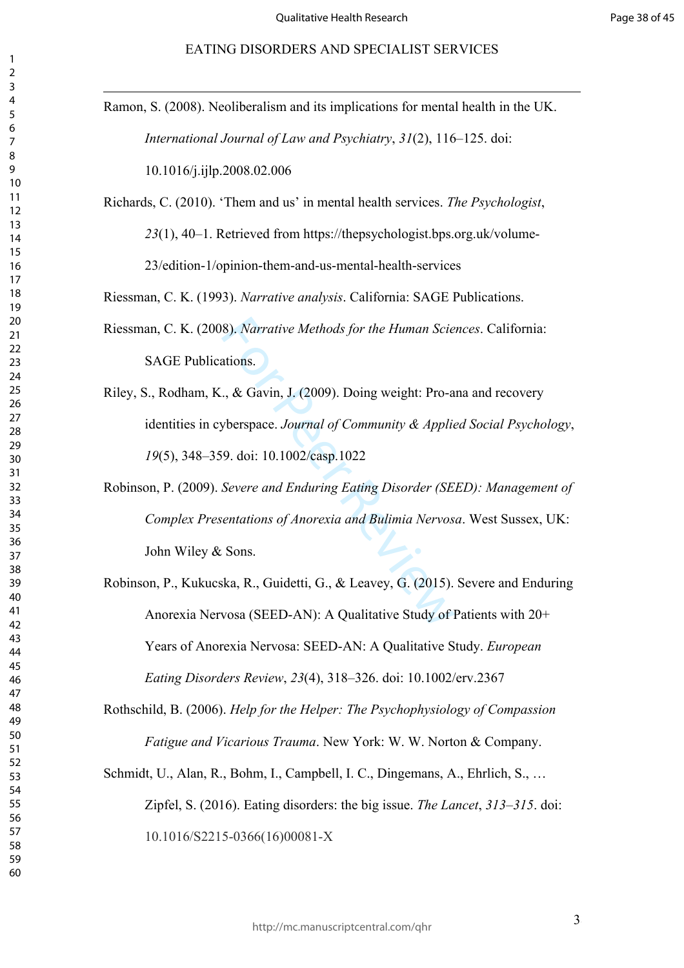| Ramon, S. (2008). Neoliberalism and its implications for mental health in the UK.  |
|------------------------------------------------------------------------------------|
| International Journal of Law and Psychiatry, 31(2), 116–125. doi:                  |
| 10.1016/j.ijlp.2008.02.006                                                         |
| Richards, C. (2010). 'Them and us' in mental health services. The Psychologist,    |
| 23(1), 40-1. Retrieved from https://thepsychologist.bps.org.uk/volume-             |
| 23/edition-1/opinion-them-and-us-mental-health-services                            |
| Riessman, C. K. (1993). Narrative analysis. California: SAGE Publications.         |
| Riessman, C. K. (2008). Narrative Methods for the Human Sciences. California:      |
| <b>SAGE Publications.</b>                                                          |
| Riley, S., Rodham, K., & Gavin, J. (2009). Doing weight: Pro-ana and recovery      |
| identities in cyberspace. Journal of Community & Applied Social Psychology,        |
| 19(5), 348–359. doi: 10.1002/casp.1022                                             |
| Robinson, P. (2009). Severe and Enduring Eating Disorder (SEED): Management of     |
| Complex Presentations of Anorexia and Bulimia Nervosa. West Sussex, UK:            |
| John Wiley & Sons.                                                                 |
| Robinson, P., Kukucska, R., Guidetti, G., & Leavey, G. (2015). Severe and Enduring |
| Anorexia Nervosa (SEED-AN): A Qualitative Study of Patients with 20+               |
| Years of Anorexia Nervosa: SEED-AN: A Qualitative Study. European                  |
| Eating Disorders Review, 23(4), 318-326. doi: 10.1002/erv.2367                     |
| Rothschild, B. (2006). Help for the Helper: The Psychophysiology of Compassion     |
| Fatigue and Vicarious Trauma. New York: W. W. Norton & Company.                    |
| Schmidt, U., Alan, R., Bohm, I., Campbell, I. C., Dingemans, A., Ehrlich, S.,      |
| Zipfel, S. (2016). Eating disorders: the big issue. The Lancet, 313–315. doi:      |
| 10.1016/S2215-0366(16)00081-X                                                      |
|                                                                                    |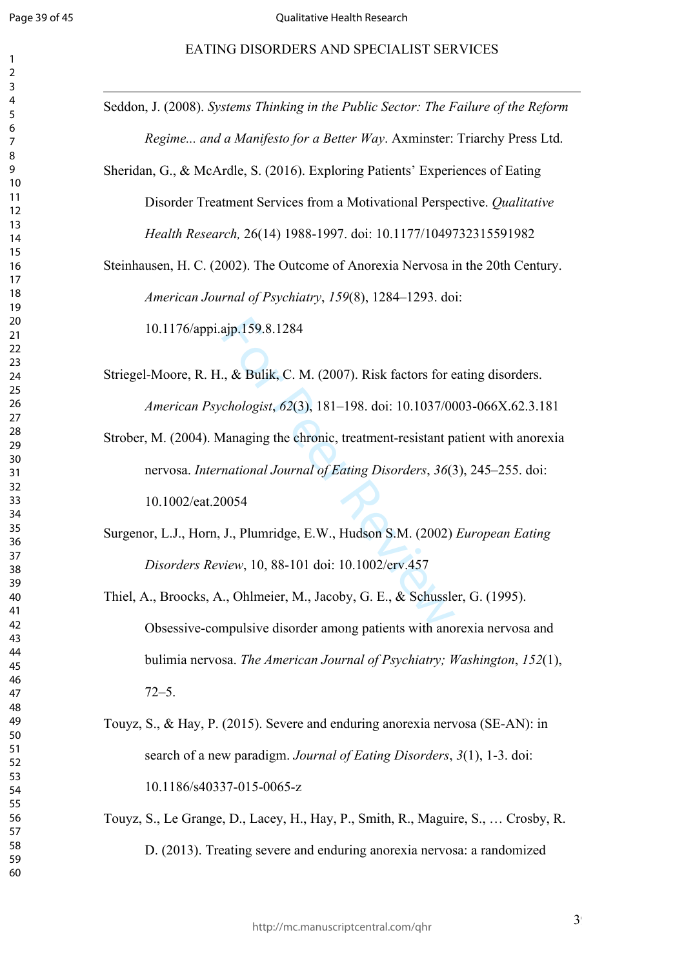#### EATING DISORDERS AND SPECIALIST SERVICES

| 1                            |
|------------------------------|
| C                            |
| 3                            |
| 4                            |
| 5                            |
| 6                            |
|                              |
| 8                            |
| d<br>)                       |
| 10                           |
| 1<br>$\mathbf{1}$            |
| 1.<br>フ                      |
| $\overline{13}$              |
|                              |
| 1<br>4                       |
| 15                           |
| 16                           |
| 1                            |
| 18                           |
| 19                           |
| 20                           |
| $\overline{21}$              |
| $\overline{2}$<br>C          |
| $\overline{2}$<br>3          |
| 24                           |
| 25                           |
| 26                           |
| 27                           |
| $\frac{28}{5}$               |
| 29                           |
| 30                           |
| $\overline{\textbf{3}}$      |
|                              |
| $\overline{\mathbf{3}}$<br>C |
| $\overline{\mathbf{3}}$<br>ξ |
| ş.<br>4                      |
| 35                           |
| 36                           |
| 37                           |
| 88                           |
| 39                           |
| 40                           |
| 41                           |
| 4<br>C                       |
| 43                           |
| 44                           |
| 45                           |
| 46                           |
| 47                           |
| 48                           |
|                              |
| 49                           |
| 50                           |
| 51                           |
| 5.<br>$\overline{c}$         |
| 5:<br>ξ                      |
| 54                           |
| 55                           |
| 56                           |
| 57                           |
| 58                           |
| 59                           |
| 60                           |
|                              |

Seddon, J. (2008). *Systems Thinking in the Public Sector: The Failure of the Reform Regime... and a Manifesto for a Better Way*. Axminster: Triarchy Press Ltd.

Sheridan, G., & McArdle, S. (2016). Exploring Patients' Experiences of Eating Disorder Treatment Services from a Motivational Perspective. *Qualitative Health Research,* 26(14) 1988-1997. doi: 10.1177/1049732315591982

Steinhausen, H. C. (2002). The Outcome of Anorexia Nervosa in the 20th Century. *American Journal of Psychiatry*, *159*(8), 1284–1293. doi:

10.1176/appi.ajp.159.8.1284

Striegel-Moore, R. H., & Bulik, C. M. (2007). Risk factors for eating disorders. *American Psychologist*, *62*(3), 181–198. doi: 10.1037/0003-066X.62.3.181

ajp.159.8.1284<br>
., & Bulik, C. M. (2007). Risk factors for e<br>
chologist, 62(3), 181–198. doi: 10.1037/00<br>
Aanaging the chronic, treatment-resistant p<br>
national Journal of Eating Disorders, 36(2<br>
0054<br>
J., Plumridge, E.W., Strober, M. (2004). Managing the chronic, treatment-resistant patient with anorexia nervosa. *International Journal of Eating Disorders*, *36*(3), 245–255. doi: 10.1002/eat.20054

Surgenor, L.J., Horn, J., Plumridge, E.W., Hudson S.M. (2002) *European Eating Disorders Review*, 10, 88-101 doi: 10.1002/erv.457

Thiel, A., Broocks, A., Ohlmeier, M., Jacoby, G. E., & Schussler, G. (1995). Obsessive-compulsive disorder among patients with anorexia nervosa and bulimia nervosa. *The American Journal of Psychiatry; Washington*, *152*(1), 72–5.

Touyz, S., & Hay, P. (2015). Severe and enduring anorexia nervosa (SE-AN): in search of a new paradigm. *Journal of Eating Disorders*, *3*(1), 1-3. doi: 10.1186/s40337-015-0065-z

Touyz, S., Le Grange, D., Lacey, H., Hay, P., Smith, R., Maguire, S., … Crosby, R. D. (2013). Treating severe and enduring anorexia nervosa: a randomized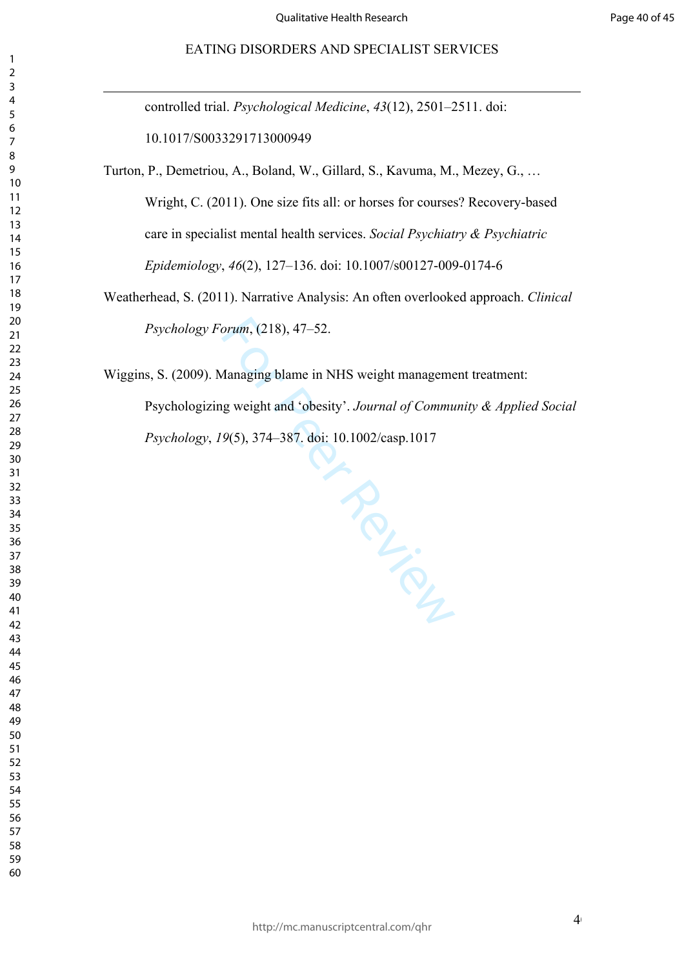controlled trial. *Psychological Medicine*, *43*(12), 2501–2511. doi: 10.1017/S0033291713000949

Turton, P., Demetriou, A., Boland, W., Gillard, S., Kavuma, M., Mezey, G., … Wright, C. (2011). One size fits all: or horses for courses? Recovery-based care in specialist mental health services. *Social Psychiatry & Psychiatric Epidemiology*, *46*(2), 127–136. doi: 10.1007/s00127-009-0174-6

Weatherhead, S. (2011). Narrative Analysis: An often overlooked approach. *Clinical Psychology Forum*, (218), 47–52.

Wiggins, S. (2009). Managing blame in NHS weight management treatment: Psychologizing weight and 'obesity'. *Journal of Community & Applied Social Psychology*, *19*(5), 374–387. doi: 10.1002/casp.1017

**PRACTICAL**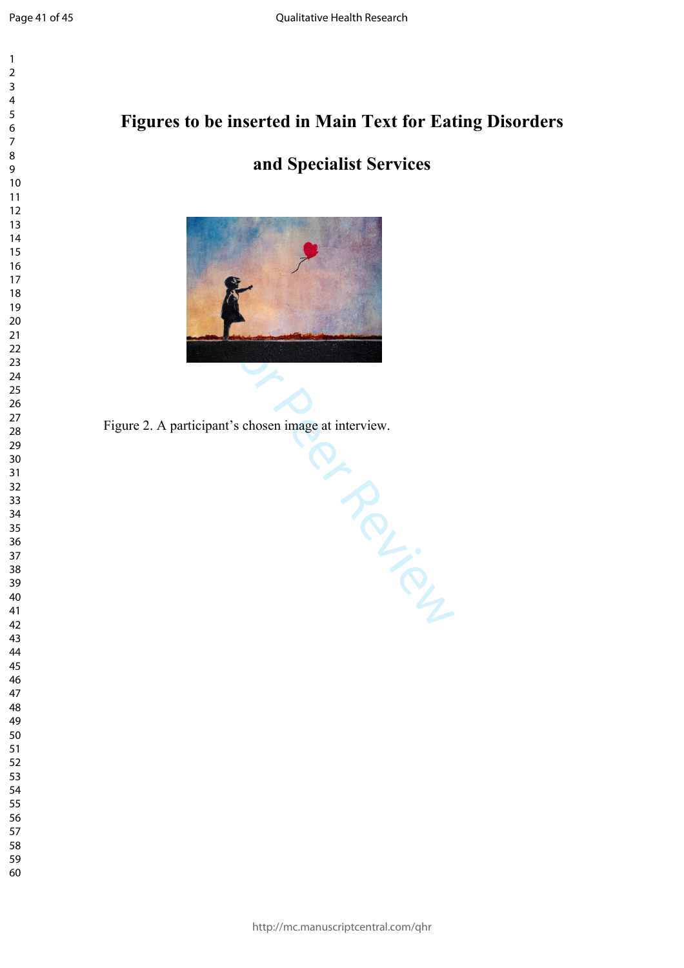$\mathbf{1}$  $\overline{2}$  $\overline{3}$  $\overline{4}$  $\overline{7}$ 

# **Figures to be inserted in Main Text for Eating Disorders**

# **and Specialist Services**



Frontier Review Figure 2. A participant's chosen image at interview.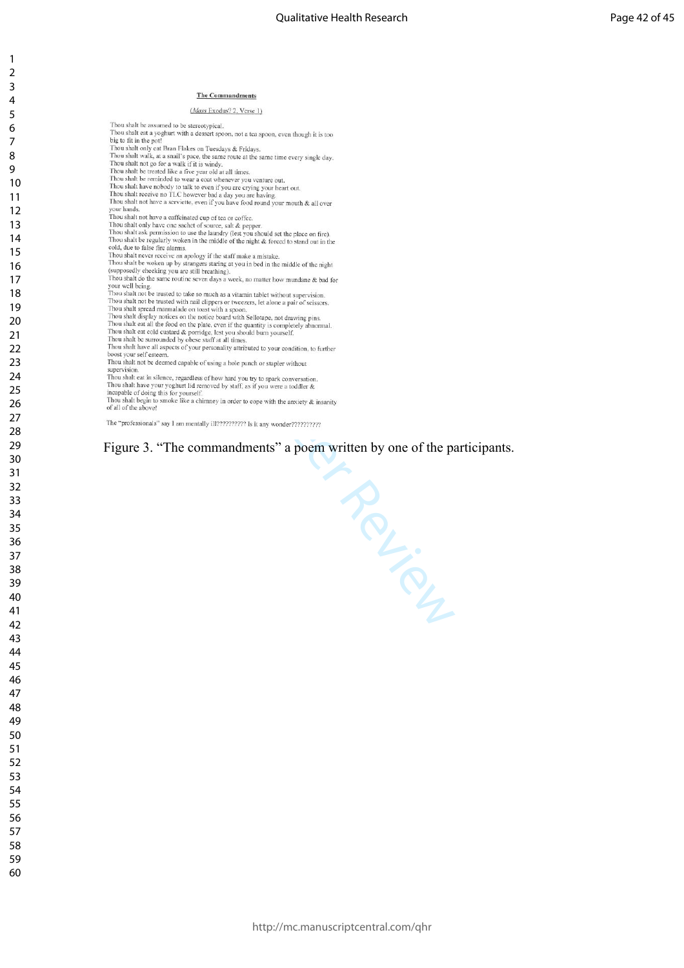#### (Mass Exodus? 2, Verse 1)

- Thou shalt be assumed to be stereotypical.<br>Thou shalt eat a yoghurt with a dessert spoon, not a tea spoon, even though it is too<br>big to fit in the port Thou shall eat a yoghurt with a dessert spoon, not a tea spoon, even though it is too<br>big to fit in the pot!<br>Thou shall only eat Bran Flakes on Tuesdays & Fridays.<br>Thou shall valk, at a small's pace, the same route at the Thou shalt not have a serviette, even if you have food round your mouth  $\&$  all over Finou shart not have a servicite, even if you have tood<br>your hands.<br>Thou shalt not have a caffeinated cup of tea or coffee. Thou shall to have a cartented cup of tea or coffee.<br>Thou shall only have one sachet of source, salt & pepper.<br>Thou shall ask permission to use the laundry (lest you should set the place on fire).<br>Thou shall te regularly w Thou shall be worken up by strangers staring at you in bed in the middle of the night<br>(supposedly checking you are still breathing).<br>Thou shalt do the same routine seven days a week, no matter how mundane & bad for your well being.<br>Thou shalt not be trusted to take so much as a vitamin tablet without supervision. Thou shall trappel to the structure of the section and dipper a review mean the structure and the structure of the structure of the structure of the structure of the structure of the structure of the structure of the stru supervision
- of all of the above!

#### Figure 3. "The commandments" a poem written by one of the participants.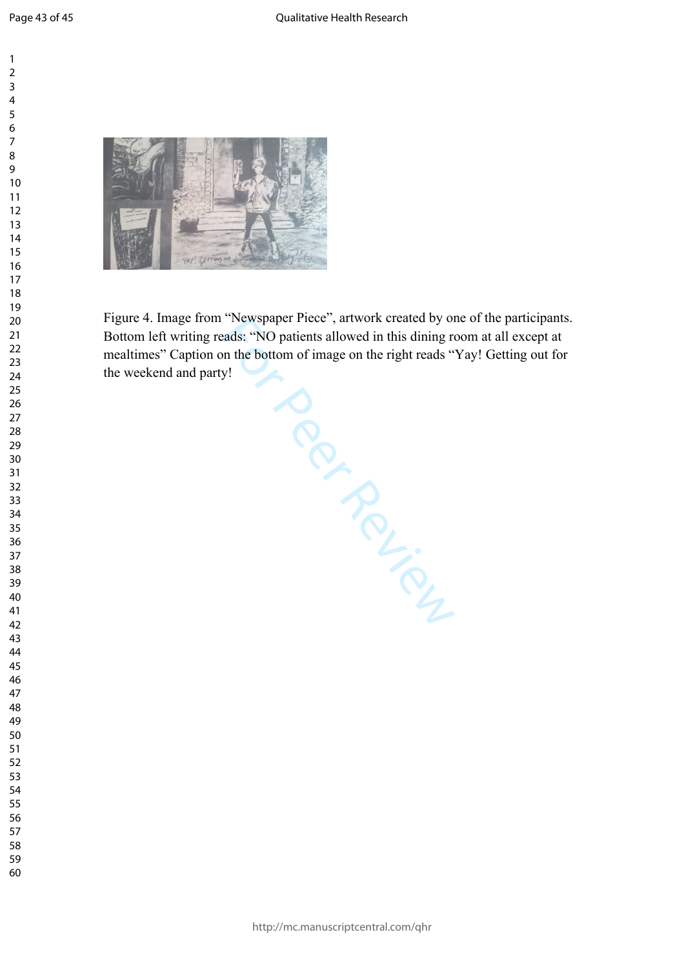



Figure 4. Image from "Newspaper Piece", artwork created by one of the participants. Bottom left writing reads: "NO patients allowed in this dining room at all except at mealtimes" Caption on the bottom of image on the right reads "Yay! Getting out for the weekend and party! mealtimes" Caption on the bottom of image on the right reads "Yay! Getting out for the weekend and party!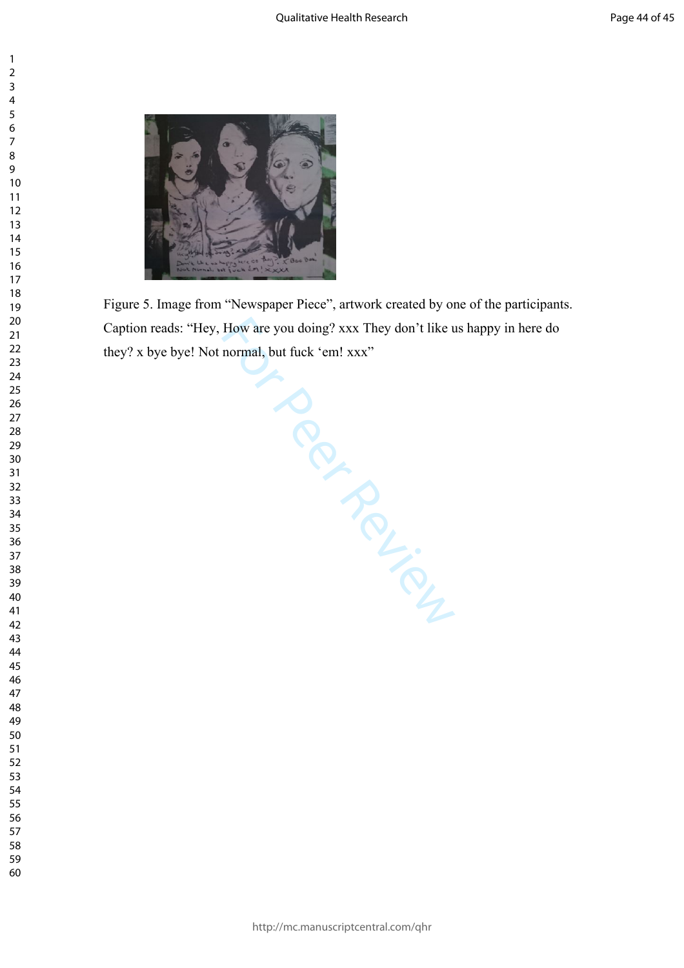



Figure 5. Image from "Newspaper Piece", artwork created by one of the participants. Caption reads: "Hey, How are you doing? xxx They don't like us happy in here do they? x bye bye! Not normal, but fuck 'em! xxx"

Formal, Put<br>Per Review Review Review